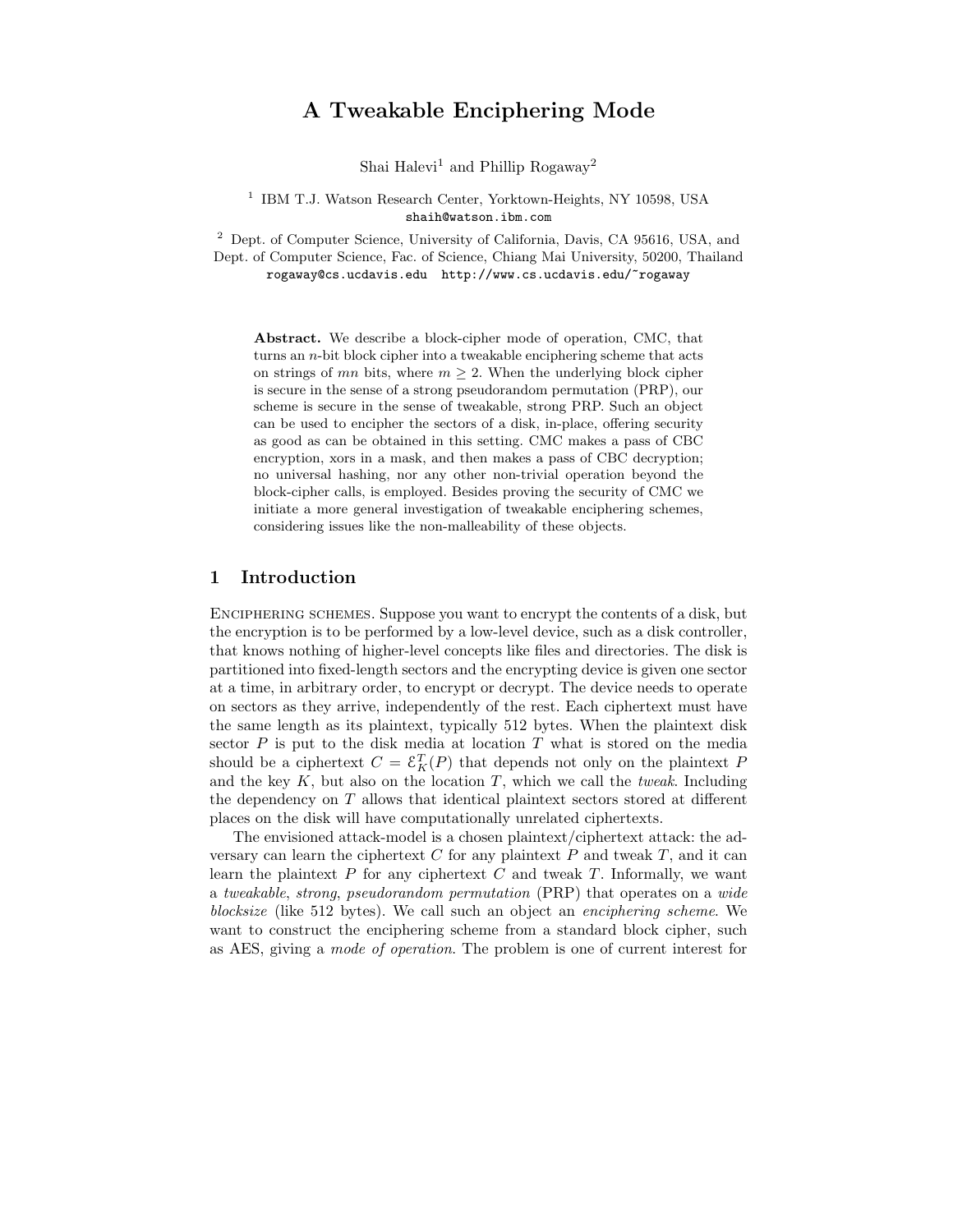## A Tweakable Enciphering Mode

Shai Halevi<sup>1</sup> and Phillip Rogaway<sup>2</sup>

<sup>1</sup> IBM T.J. Watson Research Center, Yorktown-Heights, NY 10598, USA shaih@watson.ibm.com

<sup>2</sup> Dept. of Computer Science, University of California, Davis, CA 95616, USA, and Dept. of Computer Science, Fac. of Science, Chiang Mai University, 50200, Thailand rogaway@cs.ucdavis.edu http://www.cs.ucdavis.edu/~rogaway

Abstract. We describe a block-cipher mode of operation, CMC, that turns an  $n$ -bit block cipher into a tweakable enciphering scheme that acts on strings of mn bits, where  $m \geq 2$ . When the underlying block cipher is secure in the sense of a strong pseudorandom permutation (PRP), our scheme is secure in the sense of tweakable, strong PRP. Such an object can be used to encipher the sectors of a disk, in-place, offering security as good as can be obtained in this setting. CMC makes a pass of CBC encryption, xors in a mask, and then makes a pass of CBC decryption; no universal hashing, nor any other non-trivial operation beyond the block-cipher calls, is employed. Besides proving the security of CMC we initiate a more general investigation of tweakable enciphering schemes, considering issues like the non-malleability of these objects.

#### 1 Introduction

Enciphering schemes. Suppose you want to encrypt the contents of a disk, but the encryption is to be performed by a low-level device, such as a disk controller, that knows nothing of higher-level concepts like files and directories. The disk is partitioned into fixed-length sectors and the encrypting device is given one sector at a time, in arbitrary order, to encrypt or decrypt. The device needs to operate on sectors as they arrive, independently of the rest. Each ciphertext must have the same length as its plaintext, typically 512 bytes. When the plaintext disk sector  $P$  is put to the disk media at location  $T$  what is stored on the media should be a ciphertext  $C = \mathcal{E}_K^T(P)$  that depends not only on the plaintext P and the key  $K$ , but also on the location  $T$ , which we call the *tweak*. Including the dependency on T allows that identical plaintext sectors stored at different places on the disk will have computationally unrelated ciphertexts.

The envisioned attack-model is a chosen plaintext/ciphertext attack: the adversary can learn the ciphertext  $C$  for any plaintext  $P$  and tweak  $T$ , and it can learn the plaintext  $P$  for any ciphertext  $C$  and tweak  $T$ . Informally, we want a tweakable, strong, pseudorandom permutation (PRP) that operates on a wide blocksize (like 512 bytes). We call such an object an enciphering scheme. We want to construct the enciphering scheme from a standard block cipher, such as AES, giving a mode of operation. The problem is one of current interest for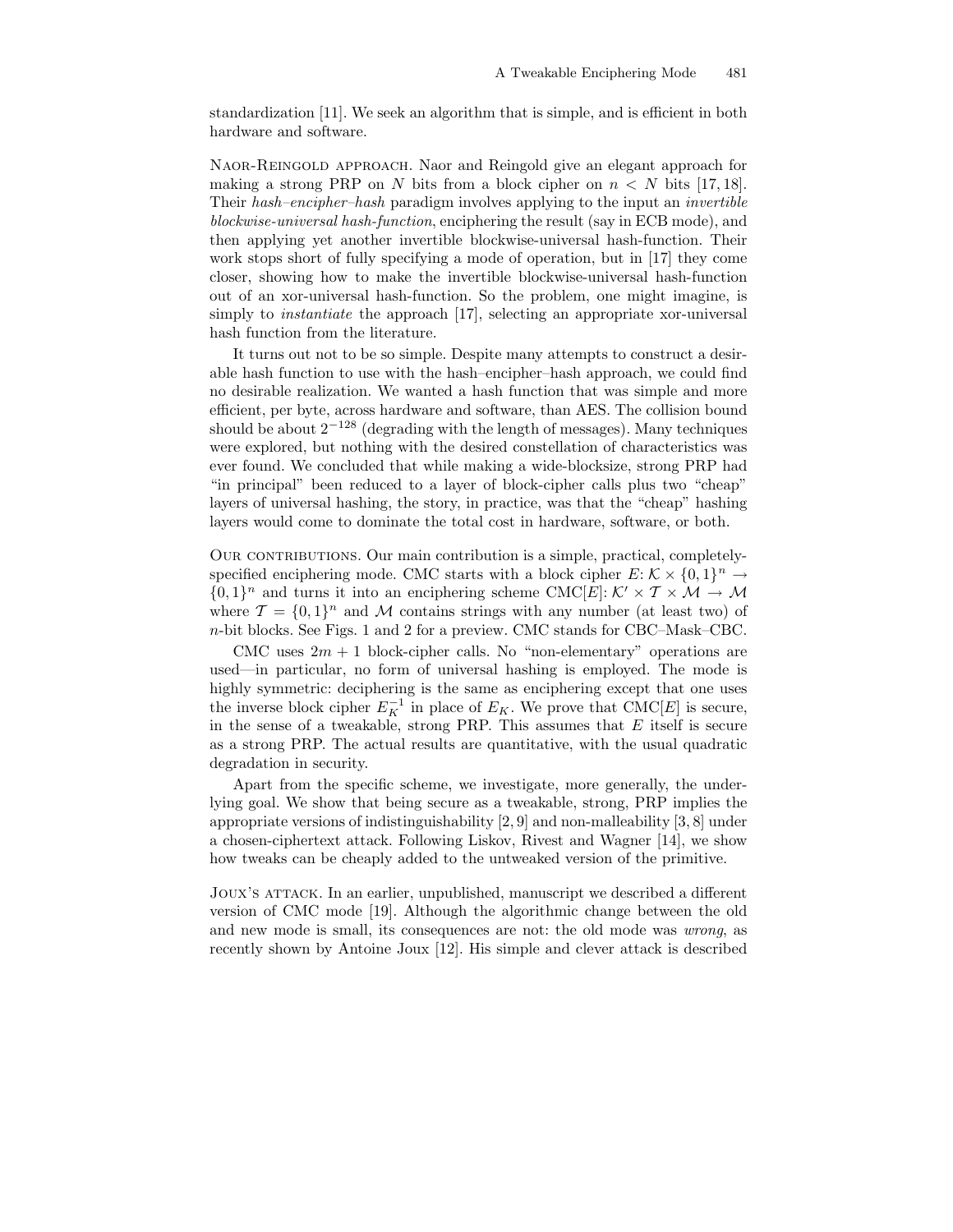standardization [11]. We seek an algorithm that is simple, and is efficient in both hardware and software.

Naor-Reingold approach. Naor and Reingold give an elegant approach for making a strong PRP on N bits from a block cipher on  $n < N$  bits [17, 18]. Their hash–encipher–hash paradigm involves applying to the input an invertible blockwise-universal hash-function, enciphering the result (say in ECB mode), and then applying yet another invertible blockwise-universal hash-function. Their work stops short of fully specifying a mode of operation, but in [17] they come closer, showing how to make the invertible blockwise-universal hash-function out of an xor-universal hash-function. So the problem, one might imagine, is simply to *instantiate* the approach [17], selecting an appropriate xor-universal hash function from the literature.

It turns out not to be so simple. Despite many attempts to construct a desirable hash function to use with the hash–encipher–hash approach, we could find no desirable realization. We wanted a hash function that was simple and more efficient, per byte, across hardware and software, than AES. The collision bound should be about  $2^{-128}$  (degrading with the length of messages). Many techniques were explored, but nothing with the desired constellation of characteristics was ever found. We concluded that while making a wide-blocksize, strong PRP had "in principal" been reduced to a layer of block-cipher calls plus two "cheap" layers of universal hashing, the story, in practice, was that the "cheap" hashing layers would come to dominate the total cost in hardware, software, or both.

Our contributions. Our main contribution is a simple, practical, completelyspecified enciphering mode. CMC starts with a block cipher  $E: \mathcal{K} \times \{0,1\}^n \to$  ${0,1}^n$  and turns it into an enciphering scheme CMC[E]:  $K' \times T \times M \rightarrow M$ where  $\mathcal{T} = \{0,1\}^n$  and M contains strings with any number (at least two) of n-bit blocks. See Figs. 1 and 2 for a preview. CMC stands for CBC–Mask–CBC.

CMC uses  $2m + 1$  block-cipher calls. No "non-elementary" operations are used—in particular, no form of universal hashing is employed. The mode is highly symmetric: deciphering is the same as enciphering except that one uses the inverse block cipher  $E_K^{-1}$  in place of  $E_K$ . We prove that CMC[E] is secure, in the sense of a tweakable, strong PRP. This assumes that  $E$  itself is secure as a strong PRP. The actual results are quantitative, with the usual quadratic degradation in security.

Apart from the specific scheme, we investigate, more generally, the underlying goal. We show that being secure as a tweakable, strong, PRP implies the appropriate versions of indistinguishability [2, 9] and non-malleability [3, 8] under a chosen-ciphertext attack. Following Liskov, Rivest and Wagner [14], we show how tweaks can be cheaply added to the untweaked version of the primitive.

Joux's attack. In an earlier, unpublished, manuscript we described a different version of CMC mode [19]. Although the algorithmic change between the old and new mode is small, its consequences are not: the old mode was wrong, as recently shown by Antoine Joux [12]. His simple and clever attack is described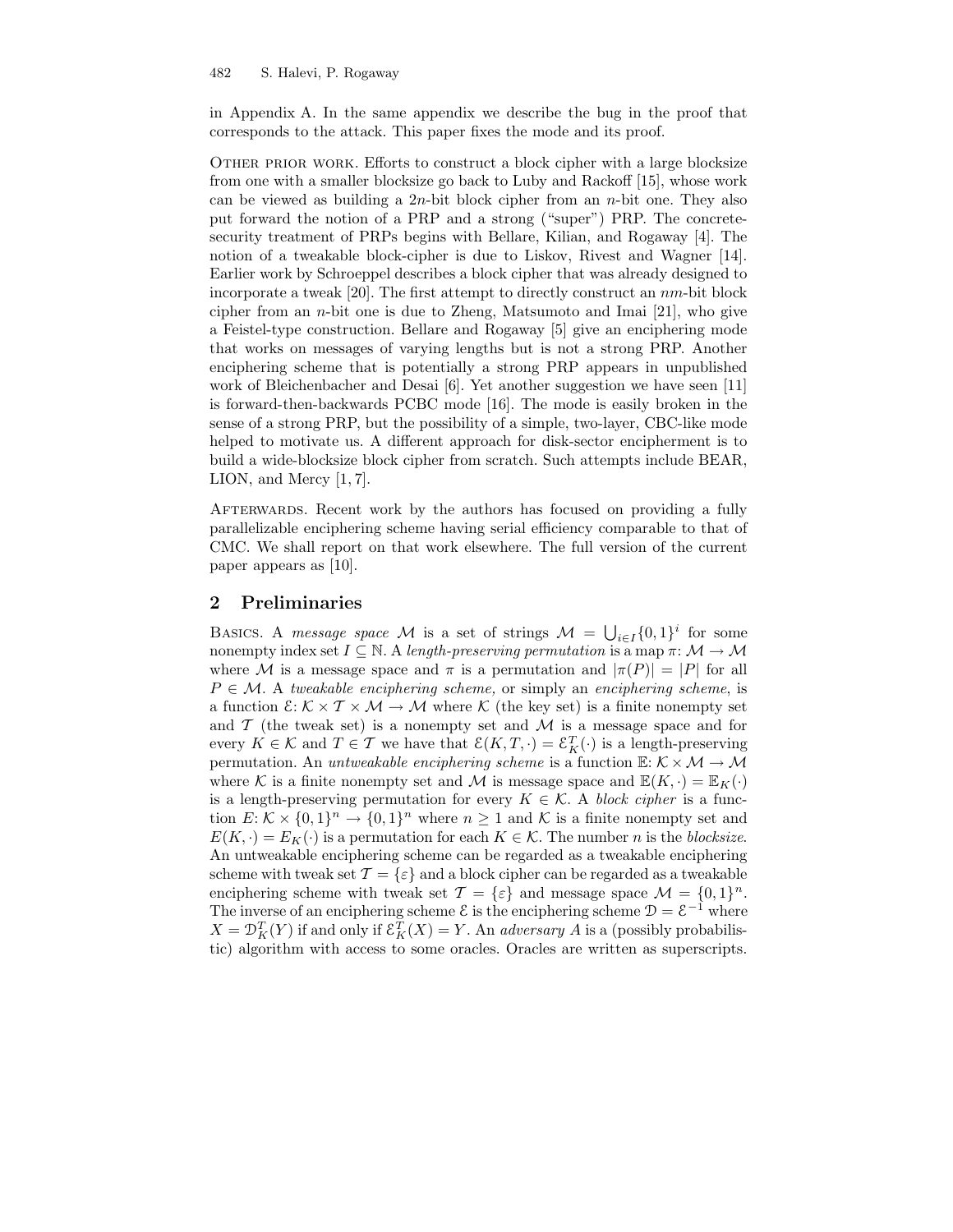in Appendix A. In the same appendix we describe the bug in the proof that corresponds to the attack. This paper fixes the mode and its proof.

OTHER PRIOR WORK. Efforts to construct a block cipher with a large blocksize from one with a smaller blocksize go back to Luby and Rackoff [15], whose work can be viewed as building a  $2n$ -bit block cipher from an *n*-bit one. They also put forward the notion of a PRP and a strong ("super") PRP. The concretesecurity treatment of PRPs begins with Bellare, Kilian, and Rogaway [4]. The notion of a tweakable block-cipher is due to Liskov, Rivest and Wagner [14]. Earlier work by Schroeppel describes a block cipher that was already designed to incorporate a tweak [20]. The first attempt to directly construct an nm-bit block cipher from an *n*-bit one is due to Zheng, Matsumoto and Imai  $[21]$ , who give a Feistel-type construction. Bellare and Rogaway [5] give an enciphering mode that works on messages of varying lengths but is not a strong PRP. Another enciphering scheme that is potentially a strong PRP appears in unpublished work of Bleichenbacher and Desai [6]. Yet another suggestion we have seen [11] is forward-then-backwards PCBC mode [16]. The mode is easily broken in the sense of a strong PRP, but the possibility of a simple, two-layer, CBC-like mode helped to motivate us. A different approach for disk-sector encipherment is to build a wide-blocksize block cipher from scratch. Such attempts include BEAR, LION, and Mercy [1, 7].

AFTERWARDS. Recent work by the authors has focused on providing a fully parallelizable enciphering scheme having serial efficiency comparable to that of CMC. We shall report on that work elsewhere. The full version of the current paper appears as [10].

### 2 Preliminaries

BASICS. A message space M is a set of strings  $M = \bigcup_{i \in I} \{0,1\}^i$  for some nonempty index set  $I \subseteq \mathbb{N}$ . A length-preserving permutation is a map  $\pi: \mathcal{M} \to \mathcal{M}$ where M is a message space and  $\pi$  is a permutation and  $|\pi(P)| = |P|$  for all  $P \in \mathcal{M}$ . A tweakable enciphering scheme, or simply an enciphering scheme, is a function  $\mathcal{E}: \mathcal{K} \times \mathcal{T} \times \mathcal{M} \to \mathcal{M}$  where  $\mathcal{K}$  (the key set) is a finite nonempty set and  $\mathcal T$  (the tweak set) is a nonempty set and  $\mathcal M$  is a message space and for every  $K \in \mathcal{K}$  and  $T \in \mathcal{T}$  we have that  $\mathcal{E}(K, T, \cdot) = \mathcal{E}_K^T(\cdot)$  is a length-preserving permutation. An *untweakable enciphering scheme* is a function  $\mathbb{E}: \mathcal{K} \times \mathcal{M} \to \mathcal{M}$ where K is a finite nonempty set and M is message space and  $\mathbb{E}(K, \cdot) = \mathbb{E}_K(\cdot)$ is a length-preserving permutation for every  $K \in \mathcal{K}$ . A block cipher is a function  $E: \mathcal{K} \times \{0,1\}^n \to \{0,1\}^n$  where  $n \geq 1$  and  $\mathcal{K}$  is a finite nonempty set and  $E(K, \cdot) = E_K(\cdot)$  is a permutation for each  $K \in \mathcal{K}$ . The number *n* is the *blocksize*. An untweakable enciphering scheme can be regarded as a tweakable enciphering scheme with tweak set  $\mathcal{T} = \{\varepsilon\}$  and a block cipher can be regarded as a tweakable enciphering scheme with tweak set  $\mathcal{T} = \{\varepsilon\}$  and message space  $\mathcal{M} = \{0, 1\}^n$ . The inverse of an enciphering scheme  $\mathcal{E}$  is the enciphering scheme  $\mathcal{D} = \mathcal{E}^{-1}$  where  $X = \mathcal{D}_K^T(Y)$  if and only if  $\mathcal{E}_K^T(X) = Y$ . An *adversary A* is a (possibly probabilistic) algorithm with access to some oracles. Oracles are written as superscripts.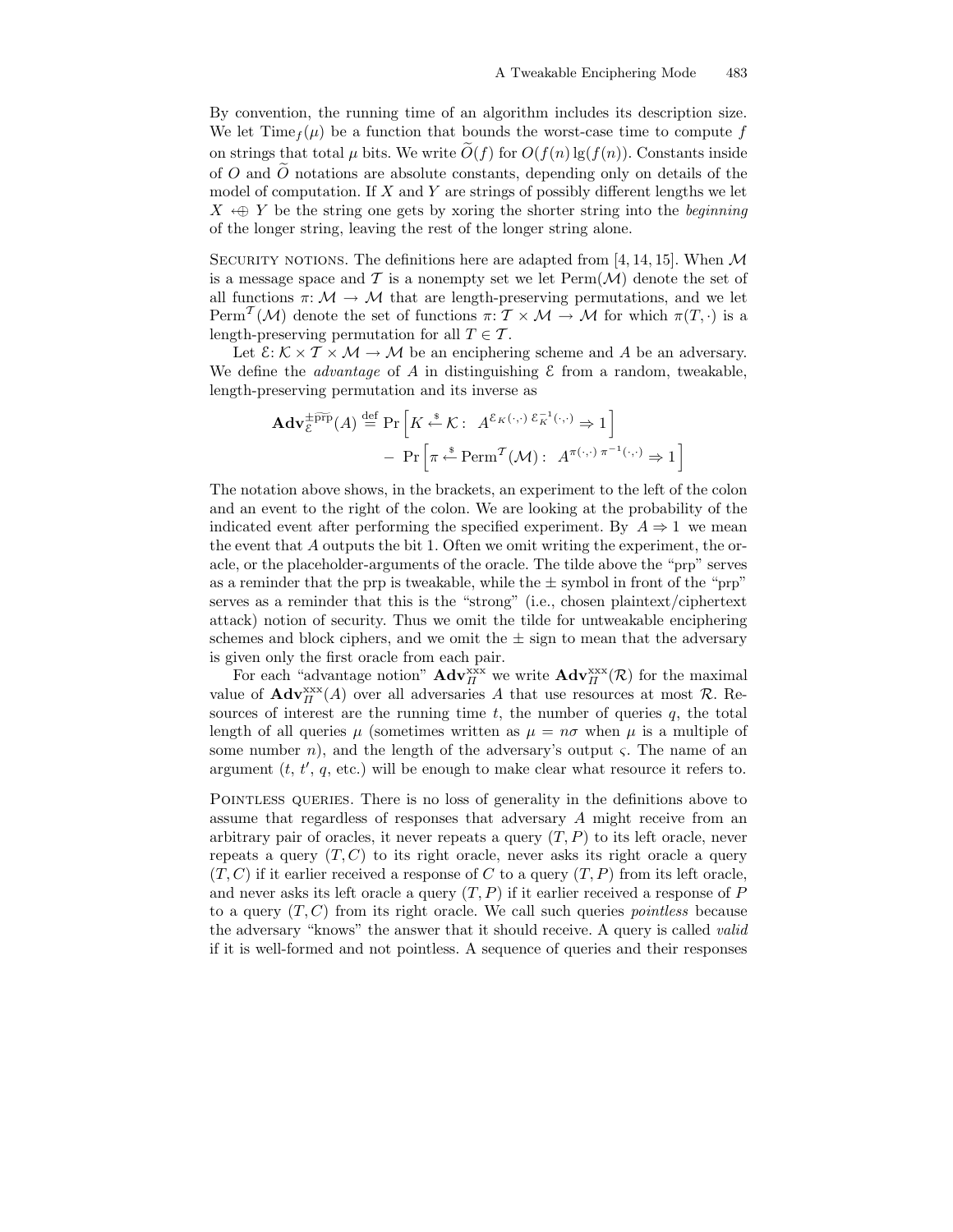By convention, the running time of an algorithm includes its description size. We let  $\text{Time}_{f}(\mu)$  be a function that bounds the worst-case time to compute f on strings that total  $\mu$  bits. We write  $\tilde{O}(f)$  for  $O(f(n) \lg(f(n))$ . Constants inside of  $O$  and  $O$  notations are absolute constants, depending only on details of the model of computation. If X and Y are strings of possibly different lengths we let  $X \leftrightarrow Y$  be the string one gets by xoring the shorter string into the *beginning* of the longer string, leaving the rest of the longer string alone.

SECURITY NOTIONS. The definitions here are adapted from [4, 14, 15]. When  $\mathcal M$ is a message space and T is a nonempty set we let  $\text{Perm}(\mathcal{M})$  denote the set of all functions  $\pi: \mathcal{M} \to \mathcal{M}$  that are length-preserving permutations, and we let Perm<sup>T</sup>(M) denote the set of functions  $\pi: \mathcal{T} \times \mathcal{M} \to \mathcal{M}$  for which  $\pi(T, \cdot)$  is a length-preserving permutation for all  $T \in \mathcal{T}$ .

Let  $\mathcal{E}: \mathcal{K} \times \mathcal{T} \times \mathcal{M} \to \mathcal{M}$  be an enciphering scheme and A be an adversary. We define the *advantage* of A in distinguishing  $\mathcal E$  from a random, tweakable, length-preserving permutation and its inverse as

$$
\mathbf{Adv}_{\varepsilon}^{\pm \widetilde{\text{prp}}}(A) \stackrel{\text{def}}{=} \Pr\left[K \stackrel{\$}{\leftarrow} \mathcal{K}: A^{\varepsilon_K(\cdot, \cdot)} \stackrel{\varepsilon^{-1}_K(\cdot, \cdot)}{\leftarrow} \Rightarrow 1\right] - \Pr\left[\pi \stackrel{\$}{\leftarrow} \text{Perm}^{\mathcal{T}}(\mathcal{M}): A^{\pi(\cdot, \cdot)} \stackrel{\pi^{-1}(\cdot, \cdot)}{\leftarrow} \Rightarrow 1\right]\right]
$$

The notation above shows, in the brackets, an experiment to the left of the colon and an event to the right of the colon. We are looking at the probability of the indicated event after performing the specified experiment. By  $A \Rightarrow 1$  we mean the event that A outputs the bit 1. Often we omit writing the experiment, the oracle, or the placeholder-arguments of the oracle. The tilde above the "prp" serves as a reminder that the prp is tweakable, while the  $\pm$  symbol in front of the "prp" serves as a reminder that this is the "strong" (i.e., chosen plaintext/ciphertext attack) notion of security. Thus we omit the tilde for untweakable enciphering schemes and block ciphers, and we omit the  $\pm$  sign to mean that the adversary is given only the first oracle from each pair.

For each "advantage notion"  $\mathbf{Adv}_{\Pi}^{\text{xxx}}$  we write  $\mathbf{Adv}_{\Pi}^{\text{xxx}}(\mathcal{R})$  for the maximal value of  $\mathbf{Adv}_{\Pi}^{\text{xxx}}(A)$  over all adversaries A that use resources at most  $\mathcal{R}$ . Resources of interest are the running time  $t$ , the number of queries  $q$ , the total length of all queries  $\mu$  (sometimes written as  $\mu = n\sigma$  when  $\mu$  is a multiple of some number *n*), and the length of the adversary's output  $\varsigma$ . The name of an argument  $(t, t', q, \text{etc.})$  will be enough to make clear what resource it refers to.

POINTLESS QUERIES. There is no loss of generality in the definitions above to assume that regardless of responses that adversary A might receive from an arbitrary pair of oracles, it never repeats a query  $(T, P)$  to its left oracle, never repeats a query  $(T, C)$  to its right oracle, never asks its right oracle a query  $(T, C)$  if it earlier received a response of C to a query  $(T, P)$  from its left oracle, and never asks its left oracle a query  $(T, P)$  if it earlier received a response of P to a query  $(T, C)$  from its right oracle. We call such queries *pointless* because the adversary "knows" the answer that it should receive. A query is called valid if it is well-formed and not pointless. A sequence of queries and their responses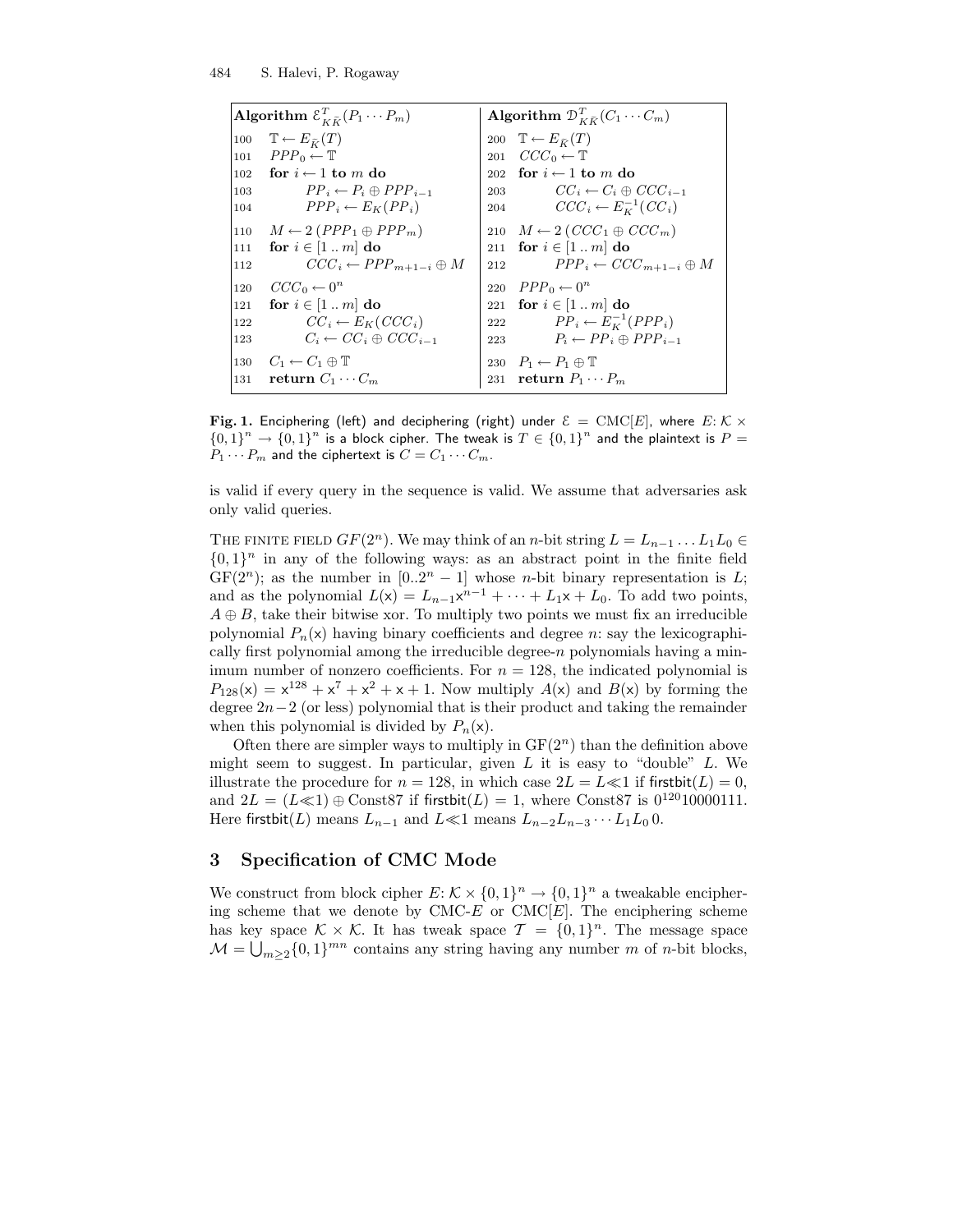| Algorithm $\mathcal{E}_{K\widetilde{K}}^T(P_1\cdots P_m)$ | Algorithm $\mathcal{D}_{K\widetilde{K}}^T(C_1\cdots C_m)$ |  |  |
|-----------------------------------------------------------|-----------------------------------------------------------|--|--|
| $\mathbb{T} \leftarrow E_{\widetilde{K}}(T)$<br>100       | 200 $\mathbb{T} \leftarrow E_{\tilde{\nu}}(T)$            |  |  |
| $PPP_0 \leftarrow \mathbb{T}$<br>101                      | 201 $CCC_0 \leftarrow \mathbb{T}$                         |  |  |
| 102 for $i \leftarrow 1$ to m do                          | 202 for $i \leftarrow 1$ to m do                          |  |  |
| $PP_i \leftarrow P_i \oplus PPP_{i-1}$<br>103             | $CC_i \leftarrow C_i \oplus CCC_{i-1}$<br>203             |  |  |
| $PPP_i \leftarrow E_K(PP_i)$<br>104                       | 204 $CCC_i \leftarrow E_K^{-1}(CC_i)$                     |  |  |
| $M \leftarrow 2 (PPP_1 \oplus PPP_m)$<br>110              | 210 $M \leftarrow 2 (CCC_1 \oplus CCC_m)$                 |  |  |
| for $i \in [1 \dots m]$ do<br>111                         | 211 for $i \in [1 \dots m]$ do                            |  |  |
| $CCC_i \leftarrow PPP_{m+1-i} \oplus M$<br>112            | $PPP_i \leftarrow CCC_{m+1-i} \oplus M$<br>212            |  |  |
| $CCC_0 \leftarrow 0^n$<br>120                             | 220 $PPP_0 \leftarrow 0^n$                                |  |  |
| for $i \in [1m]$ do<br>121                                | 221 for $i \in [1 \dots m]$ do                            |  |  |
| $CC_i \leftarrow E_K(CC_i)$<br>122                        | 222 $PP_i \leftarrow E_K^{-1}(PPP_i)$                     |  |  |
| $C_i \leftarrow CC_i \oplus CCC_{i-1}$<br>123             | $P_i \leftarrow PP_i \oplus PPP_{i-1}$<br>223             |  |  |
| 130 $C_1 \leftarrow C_1 \oplus \mathbb{T}$                | 230 $P_1 \leftarrow P_1 \oplus \mathbb{T}$                |  |  |
| 131 return $C_1 \cdots C_m$                               | 231 return $P_1 \cdots P_m$                               |  |  |

Fig. 1. Enciphering (left) and deciphering (right) under  $\mathcal{E} = \text{CMC}[E]$ , where  $E: \mathcal{K} \times$  $\{0,1\}^n \to \{0,1\}^n$  is a block cipher. The tweak is  $T \in \{0,1\}^n$  and the plaintext is  $P =$  $P_1 \cdots P_m$  and the ciphertext is  $C = C_1 \cdots C_m$ .

is valid if every query in the sequence is valid. We assume that adversaries ask only valid queries.

THE FINITE FIELD  $GF(2^n)$ . We may think of an n-bit string  $L = L_{n-1} \ldots L_1 L_0 \in$  ${0,1}^n$  in any of the following ways: as an abstract point in the finite field  $GF(2^n)$ ; as the number in  $[0..2^n - 1]$  whose *n*-bit binary representation is L; and as the polynomial  $L(\mathsf{x}) = L_{n-1} \mathsf{x}^{n-1} + \cdots + L_1 \mathsf{x} + L_0$ . To add two points,  $A \oplus B$ , take their bitwise xor. To multiply two points we must fix an irreducible polynomial  $P_n(x)$  having binary coefficients and degree n: say the lexicographically first polynomial among the irreducible degree-n polynomials having a minimum number of nonzero coefficients. For  $n = 128$ , the indicated polynomial is  $P_{128}(x) = x^{128} + x^7 + x^2 + x + 1$ . Now multiply  $A(x)$  and  $B(x)$  by forming the degree  $2n-2$  (or less) polynomial that is their product and taking the remainder when this polynomial is divided by  $P_n(x)$ .

Often there are simpler ways to multiply in  $GF(2<sup>n</sup>)$  than the definition above might seem to suggest. In particular, given  $L$  it is easy to "double"  $L$ . We illustrate the procedure for  $n = 128$ , in which case  $2L = L \ll 1$  if first bit $(L) = 0$ , and  $2L = (L \ll 1) \oplus \text{Const87}$  if firstbit $(L) = 1$ , where Const87 is  $0^{120}10000111$ . Here firstbit(L) means  $L_{n-1}$  and  $L \ll 1$  means  $L_{n-2}L_{n-3}\cdots L_1L_0$  0.

#### 3 Specification of CMC Mode

We construct from block cipher  $E: \mathcal{K} \times \{0,1\}^n \to \{0,1\}^n$  a tweakable enciphering scheme that we denote by  $CMC-E$  or  $CMC[E]$ . The enciphering scheme has key space  $\mathcal{K} \times \mathcal{K}$ . It has tweak space  $\mathcal{T} = \{0,1\}^n$ . The message space  $\mathcal{M} = \bigcup_{m \geq 2} \{0, 1\}^{mn}$  contains any string having any number m of n-bit blocks,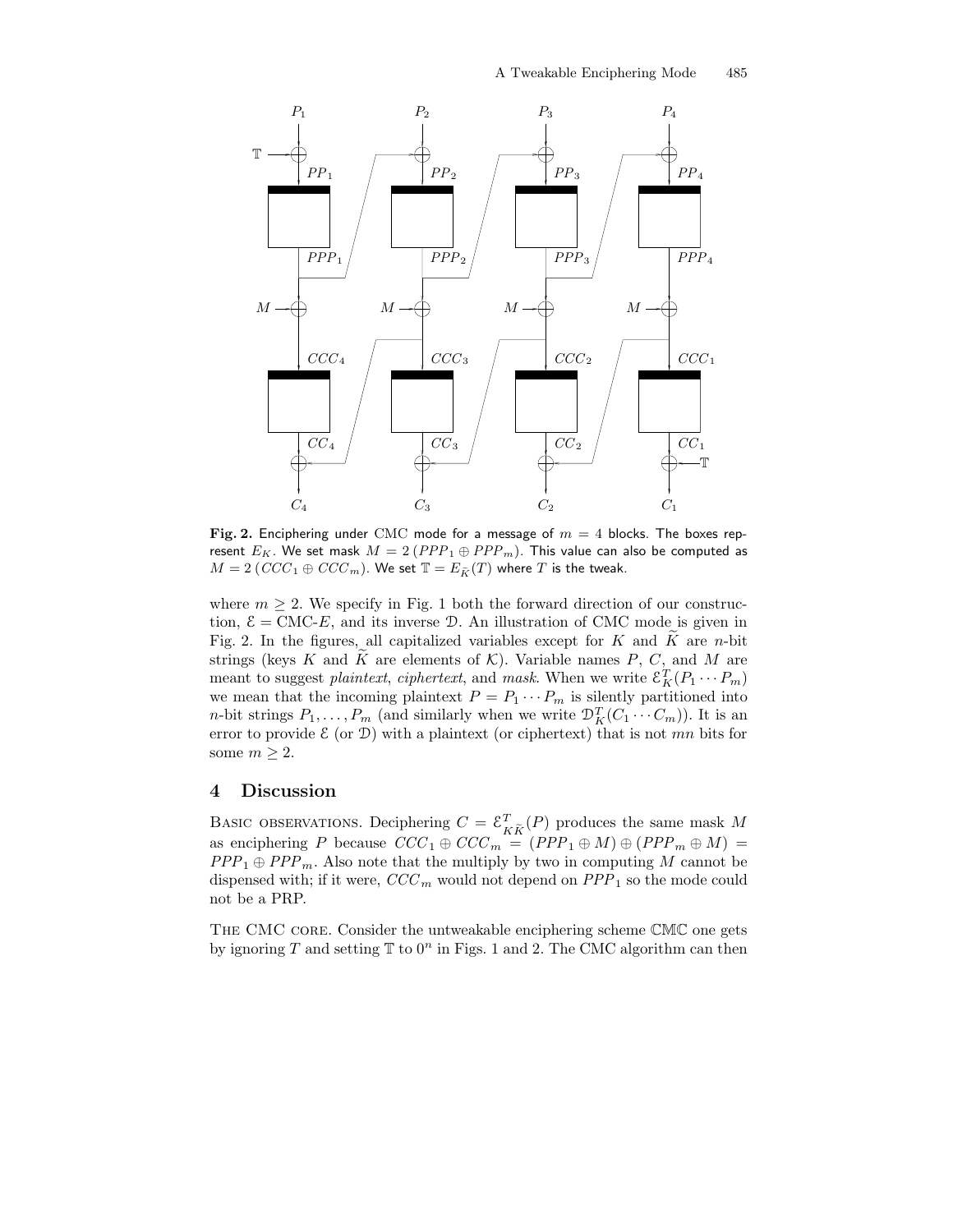

Fig. 2. Enciphering under CMC mode for a message of  $m = 4$  blocks. The boxes represent  $E_K$ . We set mask  $M = 2 (PPP_1 \oplus PPP_m)$ . This value can also be computed as  $M = 2 (CCC_1 \oplus CCC_m)$ . We set  $\mathbb{T} = E_{\widetilde{K}}(T)$  where T is the tweak.

where  $m \geq 2$ . We specify in Fig. 1 both the forward direction of our construction,  $\mathcal{E} = \text{CMC-}E$ , and its inverse D. An illustration of CMC mode is given in Fig. 2. In the figures, all capitalized variables except for  $K$  and  $\tilde{K}$  are n-bit strings (keys K and K are elements of  $K$ ). Variable names P, C, and M are meant to suggest *plaintext*, *ciphertext*, and *mask*. When we write  $\mathcal{E}_K^T(P_1 \cdots P_m)$ we mean that the incoming plaintext  $P = P_1 \cdots P_m$  is silently partitioned into *n*-bit strings  $P_1, \ldots, P_m$  (and similarly when we write  $\mathcal{D}_K^T(C_1 \cdots C_m)$ ). It is an error to provide  $\mathcal E$  (or  $\mathcal D$ ) with a plaintext (or ciphertext) that is not mn bits for some  $m \geq 2$ .

#### 4 Discussion

BASIC OBSERVATIONS. Deciphering  $C = \mathcal{E}_k^T$  $K_{\tilde{K}}(P)$  produces the same mask M as enciphering P because  $CCC_1 \oplus CCC_m = (PPP_1 \oplus M) \oplus (PPP_m \oplus M)$  =  $PPP_1 \oplus PPP_m$ . Also note that the multiply by two in computing M cannot be dispensed with; if it were,  $CCC_m$  would not depend on  $PPP_1$  so the mode could not be a PRP.

THE CMC CORE. Consider the untweakable enciphering scheme CMC one gets by ignoring T and setting  $\mathbb T$  to  $0^n$  in Figs. 1 and 2. The CMC algorithm can then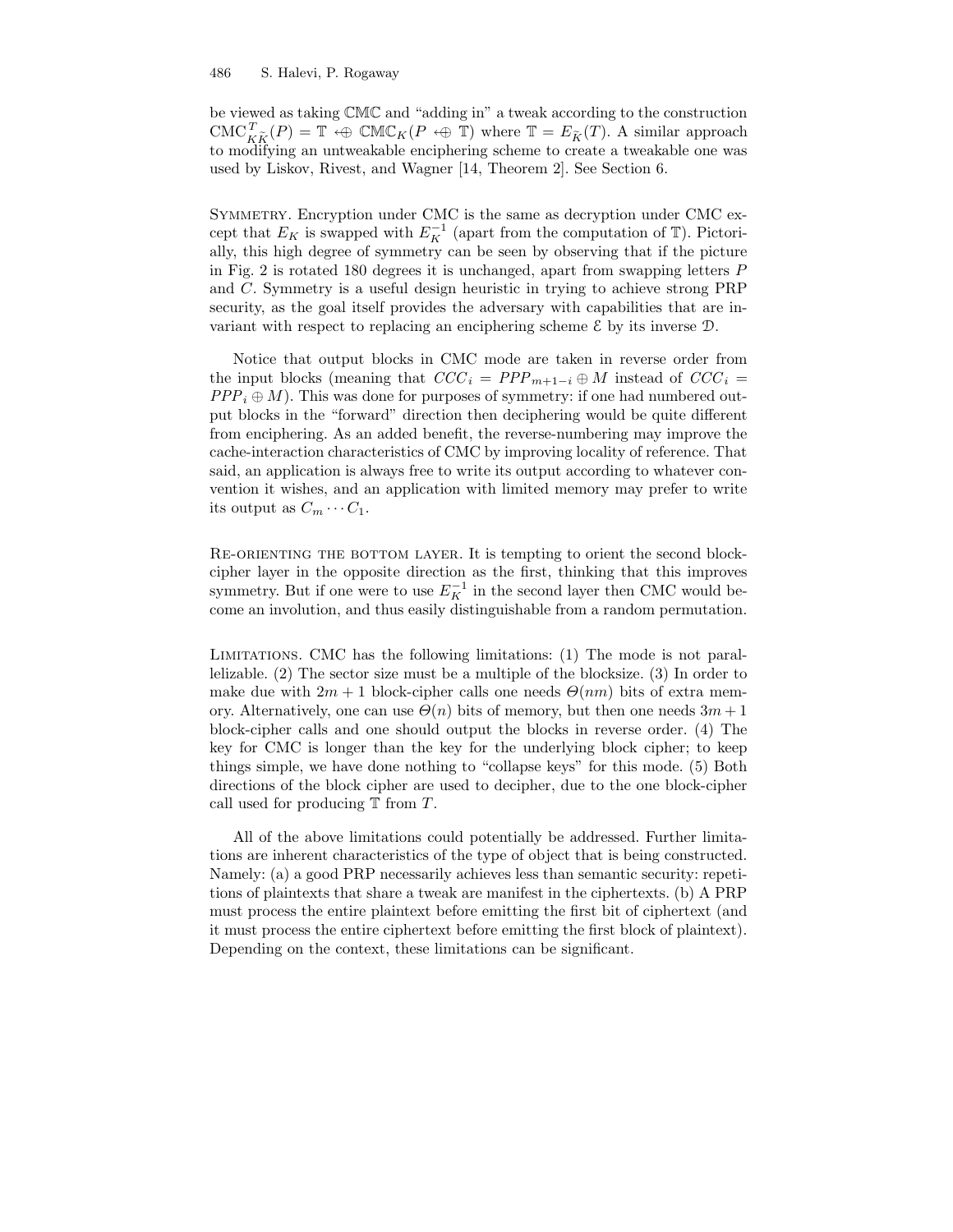#### 486 S. Halevi, P. Rogaway

be viewed as taking CMC and "adding in" a tweak according to the construction  $CMC_{\widetilde{K},\widetilde{K}}^T(P) = \mathbb{T} \Leftrightarrow \mathbb{CMC}_{K}(P \Leftrightarrow \mathbb{T})$  where  $\mathbb{T} = E_{\widetilde{K}}(T)$ . A similar approach to modifying an untweakable enciphering scheme to create a tweakable one was used by Liskov, Rivest, and Wagner [14, Theorem 2]. See Section 6.

SYMMETRY. Encryption under CMC is the same as decryption under CMC except that  $E_K$  is swapped with  $E_K^{-1}$  (apart from the computation of  $\mathbb{T}$ ). Pictorially, this high degree of symmetry can be seen by observing that if the picture in Fig. 2 is rotated 180 degrees it is unchanged, apart from swapping letters P and C. Symmetry is a useful design heuristic in trying to achieve strong PRP security, as the goal itself provides the adversary with capabilities that are invariant with respect to replacing an enciphering scheme  $\mathcal E$  by its inverse  $\mathcal D$ .

Notice that output blocks in CMC mode are taken in reverse order from the input blocks (meaning that  $CCC_i = PPP_{m+1-i} \oplus M$  instead of  $CCC_i =$  $PPP_i \oplus M)$ . This was done for purposes of symmetry: if one had numbered output blocks in the "forward" direction then deciphering would be quite different from enciphering. As an added benefit, the reverse-numbering may improve the cache-interaction characteristics of CMC by improving locality of reference. That said, an application is always free to write its output according to whatever convention it wishes, and an application with limited memory may prefer to write its output as  $C_m \cdots C_1$ .

Re-orienting the bottom layer. It is tempting to orient the second blockcipher layer in the opposite direction as the first, thinking that this improves symmetry. But if one were to use  $E_K^{-1}$  in the second layer then CMC would become an involution, and thus easily distinguishable from a random permutation.

Limitations. CMC has the following limitations: (1) The mode is not parallelizable. (2) The sector size must be a multiple of the blocksize. (3) In order to make due with  $2m + 1$  block-cipher calls one needs  $\Theta(nm)$  bits of extra memory. Alternatively, one can use  $\Theta(n)$  bits of memory, but then one needs  $3m+1$ block-cipher calls and one should output the blocks in reverse order. (4) The key for CMC is longer than the key for the underlying block cipher; to keep things simple, we have done nothing to "collapse keys" for this mode. (5) Both directions of the block cipher are used to decipher, due to the one block-cipher call used for producing  $T$  from  $T$ .

All of the above limitations could potentially be addressed. Further limitations are inherent characteristics of the type of object that is being constructed. Namely: (a) a good PRP necessarily achieves less than semantic security: repetitions of plaintexts that share a tweak are manifest in the ciphertexts. (b) A PRP must process the entire plaintext before emitting the first bit of ciphertext (and it must process the entire ciphertext before emitting the first block of plaintext). Depending on the context, these limitations can be significant.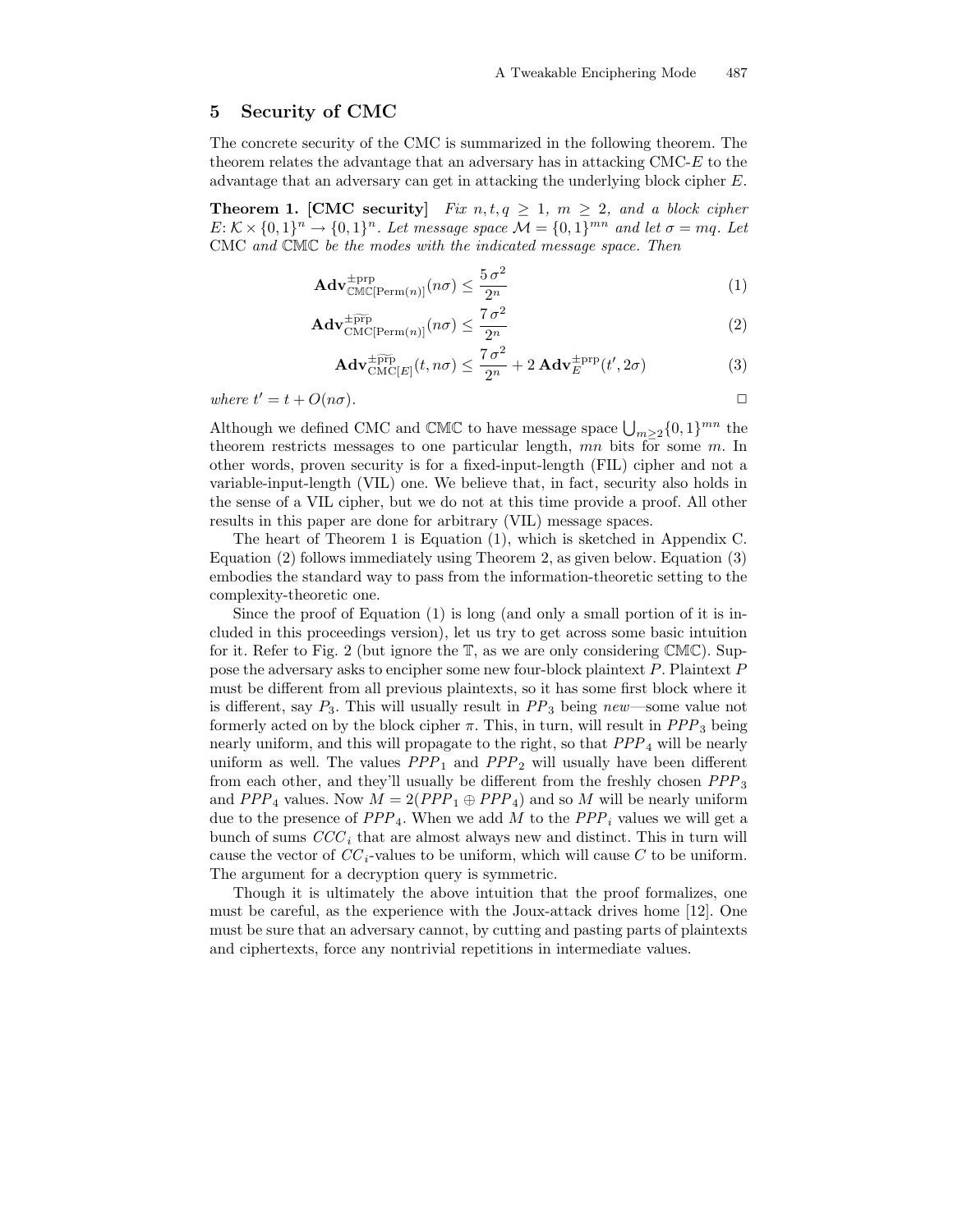### 5 Security of CMC

The concrete security of the CMC is summarized in the following theorem. The theorem relates the advantage that an adversary has in attacking CMC-E to the advantage that an adversary can get in attacking the underlying block cipher E.

**Theorem 1. [CMC security]** Fix  $n, t, q \geq 1$ ,  $m \geq 2$ , and a block cipher  $E: \mathcal{K} \times \{0,1\}^n \to \{0,1\}^n$ . Let message space  $\mathcal{M} = \{0,1\}^{mn}$  and let  $\sigma = mq$ . Let CMC and CMC be the modes with the indicated message space. Then

$$
\mathbf{Adv}_{\mathbb{CMC}[\text{Perm}(n)]}^{\text{tprp}}(n\sigma) \le \frac{5\,\sigma^2}{2^n} \tag{1}
$$

$$
\mathbf{Adv}_{\mathrm{CMC[Perm}(n)]}^{\pm \widetilde{\mathrm{prp}}}(n\sigma) \le \frac{7\,\sigma^2}{2^n} \tag{2}
$$

$$
\mathbf{Adv}_{\mathrm{CMC}[E]}^{\pm \widetilde{\mathrm{prp}}}(t,n\sigma) \le \frac{7\,\sigma^2}{2^n} + 2\,\mathbf{Adv}_{E}^{\pm \mathrm{prp}}(t',2\sigma) \tag{3}
$$

where  $t' = t + O(n\sigma)$ .

Although we defined CMC and  $\mathbb{CMC}$  to have message space  $\bigcup_{m\geq 2}\{0,1\}^{mn}$  the theorem restricts messages to one particular length, mn bits for some m. In other words, proven security is for a fixed-input-length (FIL) cipher and not a variable-input-length (VIL) one. We believe that, in fact, security also holds in the sense of a VIL cipher, but we do not at this time provide a proof. All other results in this paper are done for arbitrary (VIL) message spaces.

The heart of Theorem 1 is Equation (1), which is sketched in Appendix C. Equation (2) follows immediately using Theorem 2, as given below. Equation (3) embodies the standard way to pass from the information-theoretic setting to the complexity-theoretic one.

Since the proof of Equation (1) is long (and only a small portion of it is included in this proceedings version), let us try to get across some basic intuition for it. Refer to Fig. 2 (but ignore the T, as we are only considering CMC). Suppose the adversary asks to encipher some new four-block plaintext P. Plaintext P must be different from all previous plaintexts, so it has some first block where it is different, say  $P_3$ . This will usually result in  $PP_3$  being new—some value not formerly acted on by the block cipher  $\pi$ . This, in turn, will result in  $PPP_3$  being nearly uniform, and this will propagate to the right, so that  $PPP_4$  will be nearly uniform as well. The values  $PPP_1$  and  $PPP_2$  will usually have been different from each other, and they'll usually be different from the freshly chosen  $PPP_3$ and  $PPP_4$  values. Now  $M = 2(PPP_1 \oplus PPP_4)$  and so M will be nearly uniform due to the presence of  $PPP_4$ . When we add M to the  $PPP_i$  values we will get a bunch of sums  $CCC<sub>i</sub>$  that are almost always new and distinct. This in turn will cause the vector of  $CC_i$ -values to be uniform, which will cause C to be uniform. The argument for a decryption query is symmetric.

Though it is ultimately the above intuition that the proof formalizes, one must be careful, as the experience with the Joux-attack drives home [12]. One must be sure that an adversary cannot, by cutting and pasting parts of plaintexts and ciphertexts, force any nontrivial repetitions in intermediate values.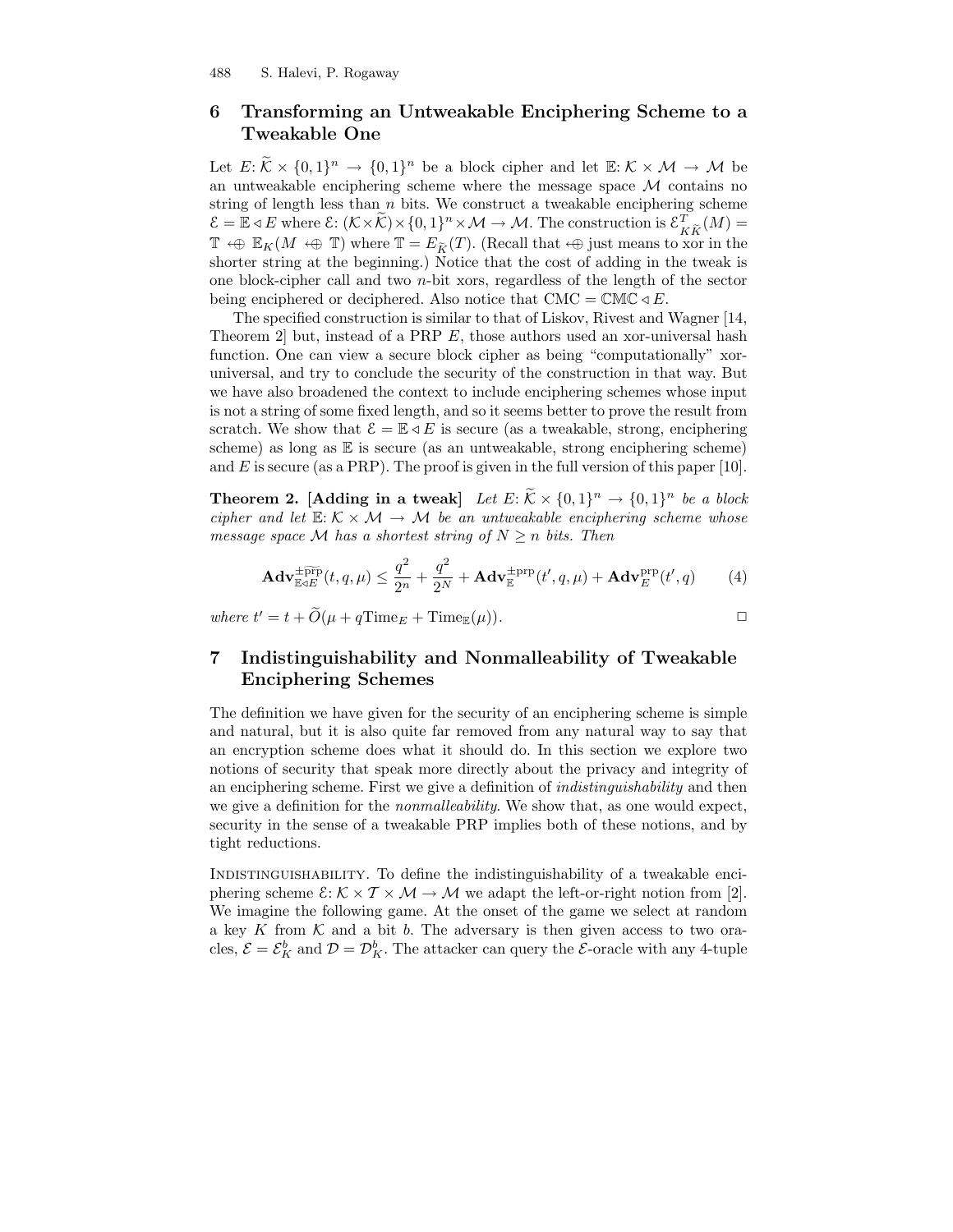488 S. Halevi, P. Rogaway

### 6 Transforming an Untweakable Enciphering Scheme to a Tweakable One

Let  $E: \widetilde{\mathcal{K}} \times \{0,1\}^n \to \{0,1\}^n$  be a block cipher and let  $\mathbb{E}: \mathcal{K} \times \mathcal{M} \to \mathcal{M}$  be an untweakable enciphering scheme where the message space  $\mathcal M$  contains no string of length less than  $n$  bits. We construct a tweakable enciphering scheme  $\mathcal{E} = \mathbb{E} \triangleleft E$  where  $\mathcal{E} : (\mathcal{K} \times \widetilde{\mathcal{K}}) \times \{0,1\}^n \times \mathcal{M} \to \mathcal{M}$ . The construction is  $\mathcal{E}_K^T$  $K_{\tilde{K}}(M) =$  $\mathbb{T} \oplus \mathbb{E}_K(M \oplus \mathbb{T})$  where  $\mathbb{T} = E_{\widetilde{K}}(T)$ . (Recall that  $\oplus$  just means to xor in the shorter string at the beginning.) Notice that the cost of adding in the tweak is one block-cipher call and two  $n$ -bit xors, regardless of the length of the sector being enciphered or deciphered. Also notice that  $CMC = CMC \triangleleft E$ .

The specified construction is similar to that of Liskov, Rivest and Wagner [14, Theorem 2] but, instead of a PRP E, those authors used an xor-universal hash function. One can view a secure block cipher as being "computationally" xoruniversal, and try to conclude the security of the construction in that way. But we have also broadened the context to include enciphering schemes whose input is not a string of some fixed length, and so it seems better to prove the result from scratch. We show that  $\mathcal{E} = \mathbb{E} \triangleleft E$  is secure (as a tweakable, strong, enciphering scheme) as long as  $E$  is secure (as an untweakable, strong enciphering scheme) and  $E$  is secure (as a PRP). The proof is given in the full version of this paper [10].

**Theorem 2.** [Adding in a tweak] Let  $E: \widetilde{K} \times \{0,1\}^n \rightarrow \{0,1\}^n$  be a block cipher and let  $\mathbb{E}: \mathcal{K} \times \mathcal{M} \to \mathcal{M}$  be an untweakable enciphering scheme whose message space M has a shortest string of  $N \geq n$  bits. Then

$$
\mathbf{Adv}_{\mathbb{E} \triangleleft E}^{\pm \widetilde{\text{prp}}}(t,q,\mu) \le \frac{q^2}{2^n} + \frac{q^2}{2^N} + \mathbf{Adv}_{\mathbb{E}}^{\pm \text{prp}}(t',q,\mu) + \mathbf{Adv}_{E}^{\text{prp}}(t',q) \tag{4}
$$

where  $t' = t + \widetilde{O}(\mu + q \text{Time}_E + \text{Time}_{\mathbb{E}}(\mu)).$ 

## 7 Indistinguishability and Nonmalleability of Tweakable Enciphering Schemes

The definition we have given for the security of an enciphering scheme is simple and natural, but it is also quite far removed from any natural way to say that an encryption scheme does what it should do. In this section we explore two notions of security that speak more directly about the privacy and integrity of an enciphering scheme. First we give a definition of indistinguishability and then we give a definition for the *nonmalleability*. We show that, as one would expect, security in the sense of a tweakable PRP implies both of these notions, and by tight reductions.

Indistinguishability. To define the indistinguishability of a tweakable enciphering scheme  $\mathcal{E}: \mathcal{K} \times \mathcal{T} \times \mathcal{M} \to \mathcal{M}$  we adapt the left-or-right notion from [2]. We imagine the following game. At the onset of the game we select at random a key K from  $\mathcal K$  and a bit b. The adversary is then given access to two oracles,  $\mathcal{E} = \mathcal{E}_K^b$  and  $\mathcal{D} = \mathcal{D}_K^b$ . The attacker can query the  $\mathcal{E}$ -oracle with any 4-tuple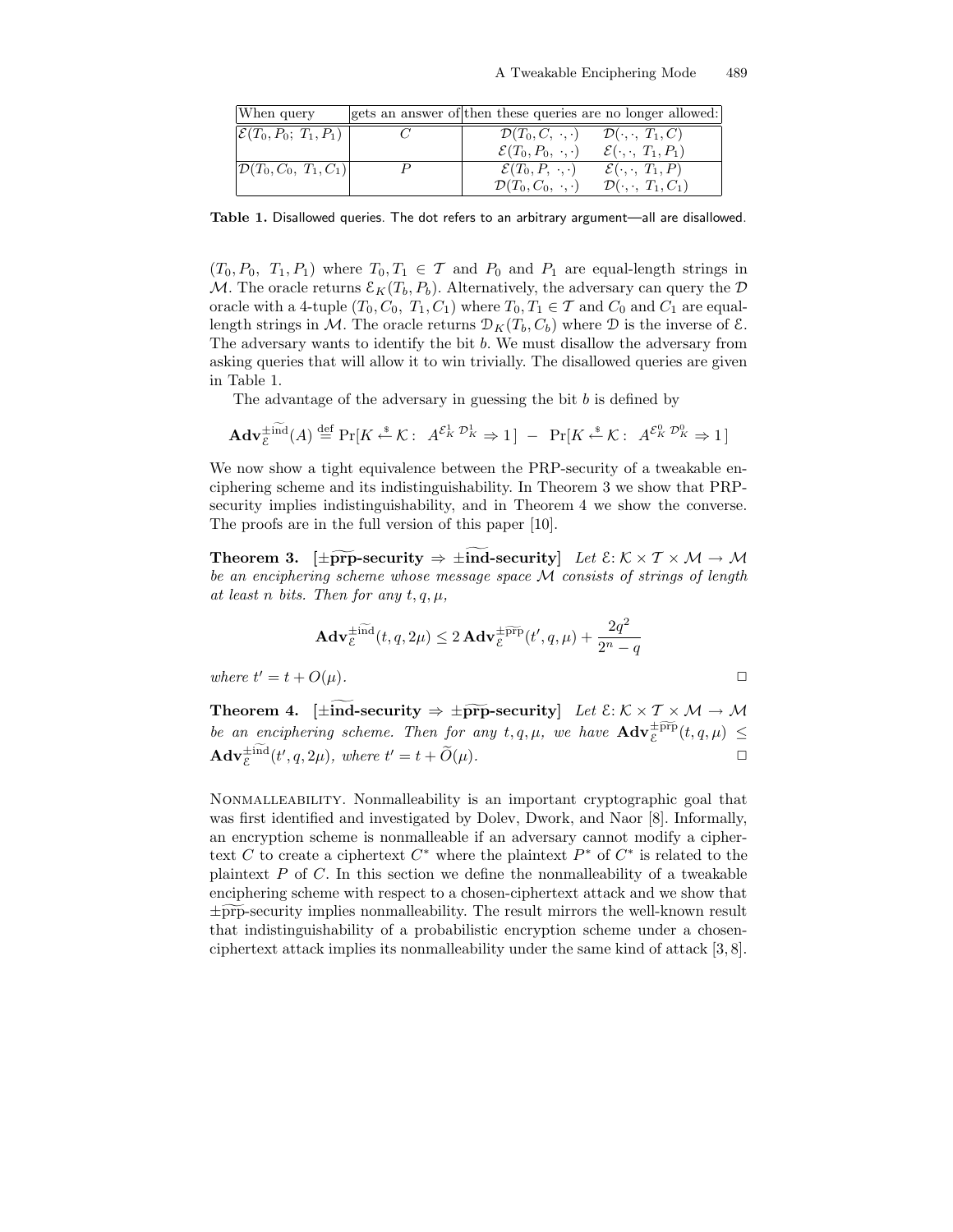| When query                          | gets an answer of then these queries are no longer allowed: |                                     |
|-------------------------------------|-------------------------------------------------------------|-------------------------------------|
| $\mathcal{E}(T_0, P_0; T_1, P_1)$   | $\mathcal{D}(T_0,C,\;\cdot,\cdot)$                          | $\mathcal{D}(\cdot,\cdot, T_1,C)$   |
|                                     | $\mathcal{E}(T_0, P_0, \ldots)$                             | $\mathcal{E}(\cdot,\cdot,T_1,P_1)$  |
| $ \mathcal{D}(T_0, C_0, T_1, C_1) $ | $\mathcal{E}(T_0, P, \cdot, \cdot)$                         | $\mathcal{E}(\cdot,\cdot,T_1,P)$    |
|                                     | $\mathcal{D}(T_0, C_0, \cdot, \cdot)$                       | $\mathcal{D}(\cdot,\cdot, T_1,C_1)$ |

Table 1. Disallowed queries. The dot refers to an arbitrary argument—all are disallowed.

 $(T_0, P_0, T_1, P_1)$  where  $T_0, T_1 \in \mathcal{T}$  and  $P_0$  and  $P_1$  are equal-length strings in M. The oracle returns  $\mathcal{E}_K(T_b, P_b)$ . Alternatively, the adversary can query the D oracle with a 4-tuple  $(T_0, C_0, T_1, C_1)$  where  $T_0, T_1 \in \mathcal{T}$  and  $C_0$  and  $C_1$  are equallength strings in M. The oracle returns  $\mathcal{D}_K(T_b, C_b)$  where D is the inverse of  $\mathcal{E}$ . The adversary wants to identify the bit b. We must disallow the adversary from asking queries that will allow it to win trivially. The disallowed queries are given in Table 1.

The advantage of the adversary in guessing the bit  $b$  is defined by

$$
\mathbf{Adv}_{\mathcal{E}}^{\pm \widetilde{\mathrm{ind}}}(A) \stackrel{\text{def}}{=} \Pr[K \stackrel{\ast}{\leftarrow} \mathcal{K}: A^{\mathcal{E}_K^1} \stackrel{\mathcal{D}_K^1}{\rightarrow} 1] - \Pr[K \stackrel{\ast}{\leftarrow} \mathcal{K}: A^{\mathcal{E}_K^0} \stackrel{\mathcal{D}_K^0}{\rightarrow} \rightarrow 1]
$$

We now show a tight equivalence between the PRP-security of a tweakable enciphering scheme and its indistinguishability. In Theorem 3 we show that PRPsecurity implies indistinguishability, and in Theorem 4 we show the converse. The proofs are in the full version of this paper [10].

Theorem 3.  $\pm \widetilde{\text{prp}}$ -security  $\Rightarrow \pm \text{ind-security}$  Let  $\mathcal{E}: \mathcal{K} \times \mathcal{T} \times \mathcal{M} \rightarrow \mathcal{M}$ be an enciphering scheme whose message space M consists of strings of length at least n bits. Then for any  $t, q, \mu$ ,

$$
\mathbf{Adv}_{\mathcal{E}}^{\pm \widetilde{\mathrm{ind}}}(t,q,2\mu) \leq 2\,\mathbf{Adv}_{\mathcal{E}}^{\pm \widetilde{\mathrm{prp}}}(t',q,\mu) + \frac{2q^2}{2^n-q}
$$
  
where  $t'=t+O(\mu)$ .

Theorem 4. [ $\pm \widetilde{\text{ind}}$ -security  $\Rightarrow \pm \widetilde{\text{prp}}$ -security] Let  $\mathcal{E}: \mathcal{K} \times \mathcal{T} \times \mathcal{M} \rightarrow \mathcal{M}$ be an enciphering scheme. Then for any  $t, q, \mu$ , we have  $\mathbf{Adv}_{\varepsilon}^{\pm \widetilde{\text{prp}}}(t, q, \mu) \leq$  $\mathbf{Adv}_{\mathcal{E}}^{\pm \mathrm{ind}}(t', q, 2\mu), \text{ where } t' = t + \widetilde{O}(\mu).$ 

Nonmalleability. Nonmalleability is an important cryptographic goal that was first identified and investigated by Dolev, Dwork, and Naor [8]. Informally, an encryption scheme is nonmalleable if an adversary cannot modify a ciphertext C to create a ciphertext  $C^*$  where the plaintext  $P^*$  of  $C^*$  is related to the plaintext  $P$  of  $C$ . In this section we define the nonmalleability of a tweakable enciphering scheme with respect to a chosen-ciphertext attack and we show that  $\pm \widehat{\text{prp}}$ -security implies nonmalleability. The result mirrors the well-known result that indistinguishability of a probabilistic encryption scheme under a chosenciphertext attack implies its nonmalleability under the same kind of attack [3, 8].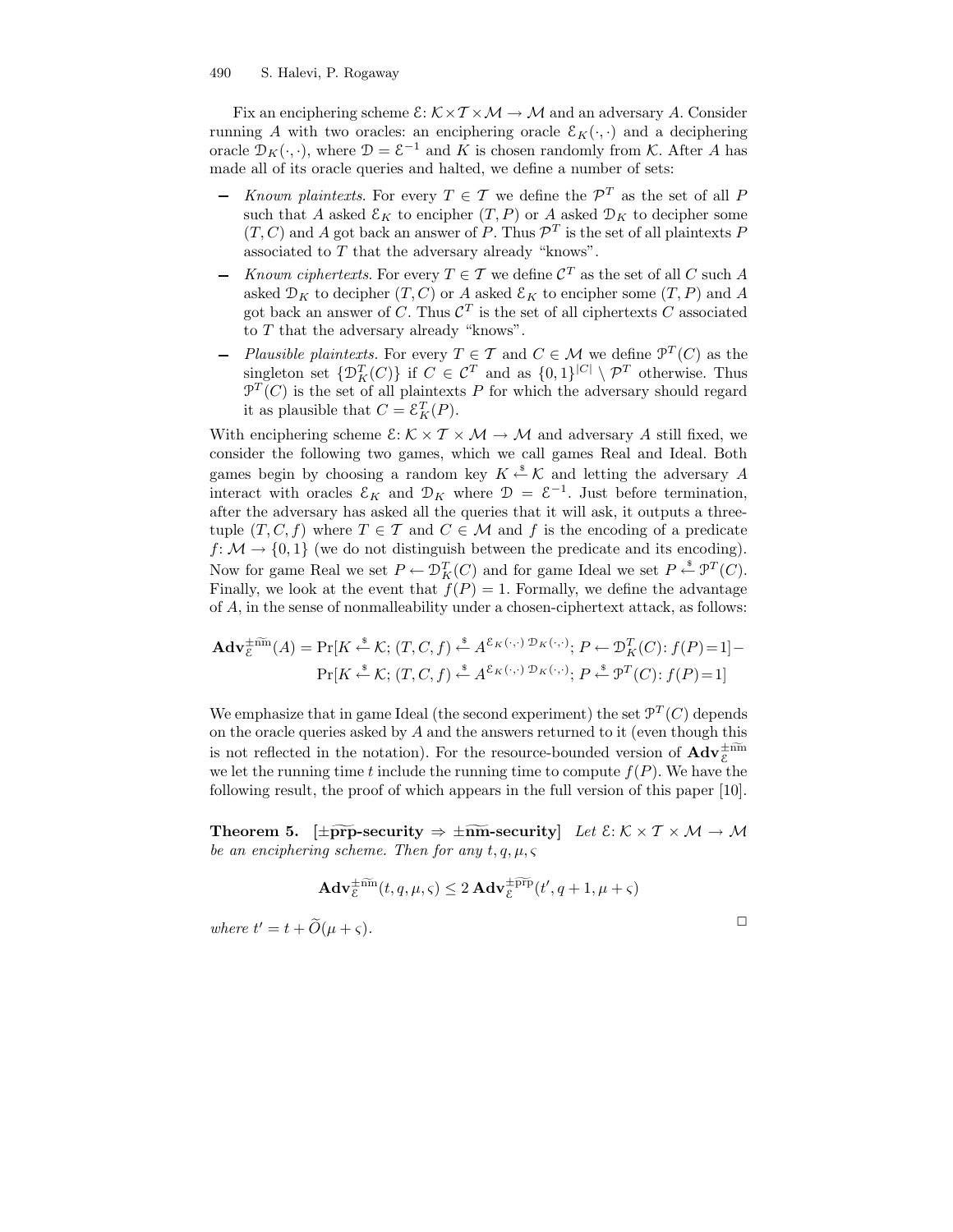Fix an enciphering scheme  $\mathcal{E}: \mathcal{K} \times \mathcal{T} \times \mathcal{M} \rightarrow \mathcal{M}$  and an adversary A. Consider running A with two oracles: an enciphering oracle  $\mathcal{E}_K(\cdot, \cdot)$  and a deciphering oracle  $\mathcal{D}_K(\cdot, \cdot)$ , where  $\mathcal{D} = \mathcal{E}^{-1}$  and K is chosen randomly from K. After A has made all of its oracle queries and halted, we define a number of sets:

- Known plaintexts. For every  $T \in \mathcal{T}$  we define the  $\mathcal{P}^T$  as the set of all P such that A asked  $\mathcal{E}_K$  to encipher  $(T, P)$  or A asked  $\mathcal{D}_K$  to decipher some  $(T, C)$  and A got back an answer of P. Thus  $\mathcal{P}^T$  is the set of all plaintexts P associated to T that the adversary already "knows".
- Known ciphertexts. For every  $T \in \mathcal{T}$  we define  $\mathcal{C}^T$  as the set of all C such A asked  $\mathcal{D}_K$  to decipher  $(T, C)$  or A asked  $\mathcal{E}_K$  to encipher some  $(T, P)$  and A got back an answer of C. Thus  $\mathcal{C}^T$  is the set of all ciphertexts C associated to T that the adversary already "knows".
- Plausible plaintexts. For every  $T \in \mathcal{T}$  and  $C \in \mathcal{M}$  we define  $\mathcal{P}^T(C)$  as the singleton set  $\{\mathcal{D}_K^T(C)\}\$  if  $C \in \mathcal{C}^T$  and as  $\{0,1\}^{|C|} \setminus \mathcal{P}^T$  otherwise. Thus  $\mathcal{P}^T(C)$  is the set of all plaintexts P for which the adversary should regard it as plausible that  $C = \mathcal{E}_K^T(P)$ .

With enciphering scheme  $\mathcal{E}: \mathcal{K} \times \mathcal{T} \times \mathcal{M} \to \mathcal{M}$  and adversary A still fixed, we consider the following two games, which we call games Real and Ideal. Both games begin by choosing a random key  $K \stackrel{\$}{\leftarrow} \mathcal{K}$  and letting the adversary A interact with oracles  $\mathcal{E}_K$  and  $\mathcal{D}_K$  where  $\mathcal{D} = \mathcal{E}^{-1}$ . Just before termination, after the adversary has asked all the queries that it will ask, it outputs a threetuple  $(T, C, f)$  where  $T \in \mathcal{T}$  and  $C \in \mathcal{M}$  and f is the encoding of a predicate  $f: \mathcal{M} \to \{0, 1\}$  (we do not distinguish between the predicate and its encoding). Now for game Real we set  $P \leftarrow \mathcal{D}_K^T(C)$  and for game Ideal we set  $P \stackrel{\$}{\leftarrow} \mathcal{P}^T(C)$ . Finally, we look at the event that  $f(P) = 1$ . Formally, we define the advantage of A, in the sense of nonmalleability under a chosen-ciphertext attack, as follows:

$$
\mathbf{Adv}_{\mathcal{E}}^{\pm \widetilde{\text{nm}}}(A) = \Pr[K \stackrel{\text{s}}{\leftarrow} \mathcal{K}; (T, C, f) \stackrel{\text{s}}{\leftarrow} A^{\mathcal{E}_{K}(\cdot, \cdot) \mathcal{D}_{K}(\cdot, \cdot)}; P \leftarrow \mathcal{D}_{K}^{T}(C); f(P) = 1] - \Pr[K \stackrel{\text{s}}{\leftarrow} \mathcal{K}; (T, C, f) \stackrel{\text{s}}{\leftarrow} A^{\mathcal{E}_{K}(\cdot, \cdot) \mathcal{D}_{K}(\cdot, \cdot)}; P \stackrel{\text{s}}{\leftarrow} \mathcal{P}^{T}(C); f(P) = 1]
$$

We emphasize that in game Ideal (the second experiment) the set  $\mathcal{P}^{T}(C)$  depends on the oracle queries asked by  $A$  and the answers returned to it (even though this is not reflected in the notation). For the resource-bounded version of  $\text{Adv}_{\mathcal{E}}^{\pm n\overline{m}}$ we let the running time t include the running time to compute  $f(P)$ . We have the following result, the proof of which appears in the full version of this paper [10].

Theorem 5.  $\pm \widetilde{\text{prp}}$ -security  $\Rightarrow \pm \widetilde{\text{nm}}$ -security Let  $\mathcal{E}: \mathcal{K} \times \mathcal{T} \times \mathcal{M} \rightarrow \mathcal{M}$ be an enciphering scheme. Then for any  $t, q, \mu, \varsigma$ 

$$
\mathbf{Adv}_{\varepsilon}^{\pm \widetilde{\text{nm}}}(t, q, \mu, \varsigma) \leq 2 \mathbf{Adv}_{\varepsilon}^{\pm \widetilde{\text{app}}}(t', q+1, \mu + \varsigma)
$$

 $\Box$ 

where  $t' = t + \tilde{O}(\mu + \varsigma)$ .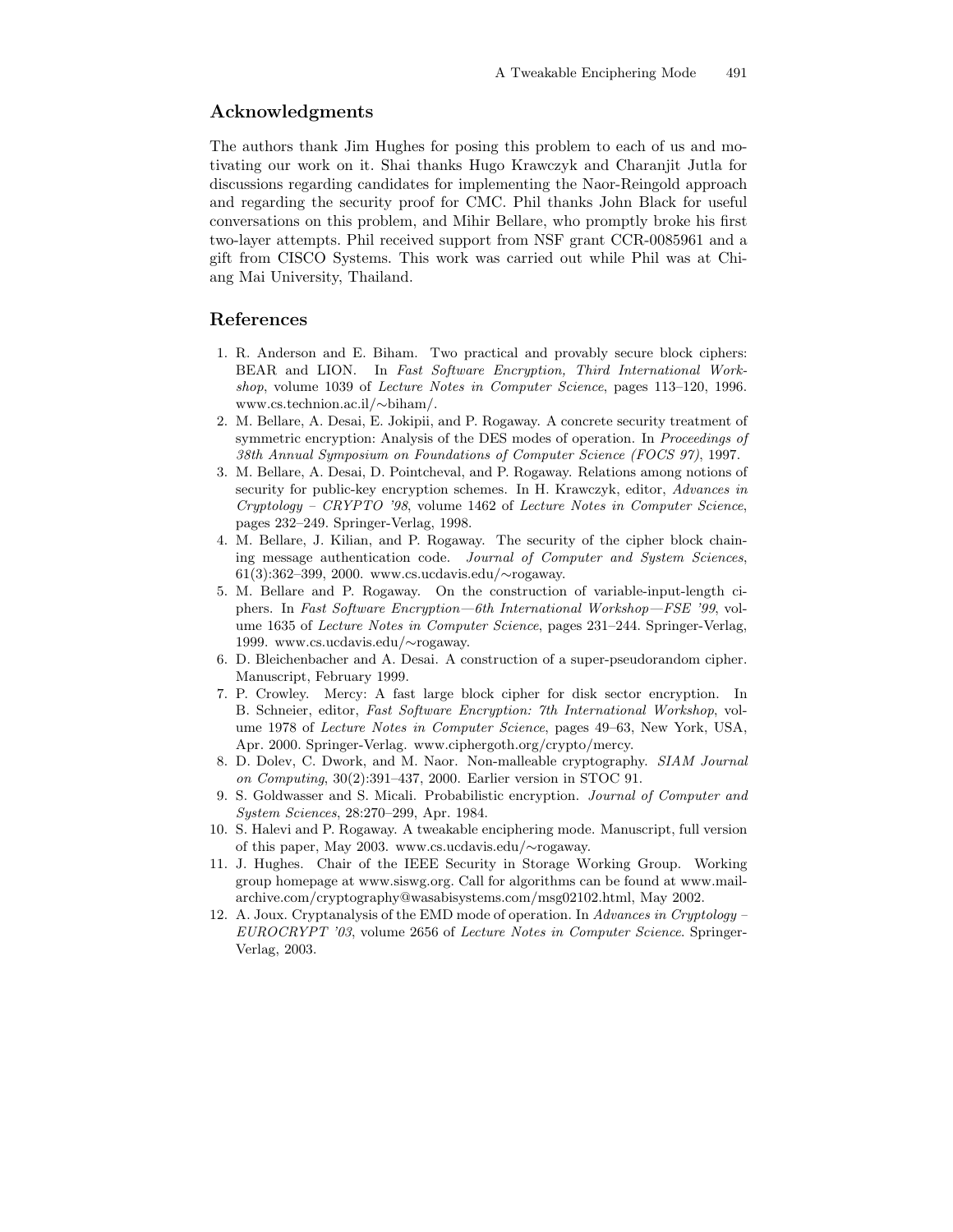### Acknowledgments

The authors thank Jim Hughes for posing this problem to each of us and motivating our work on it. Shai thanks Hugo Krawczyk and Charanjit Jutla for discussions regarding candidates for implementing the Naor-Reingold approach and regarding the security proof for CMC. Phil thanks John Black for useful conversations on this problem, and Mihir Bellare, who promptly broke his first two-layer attempts. Phil received support from NSF grant CCR-0085961 and a gift from CISCO Systems. This work was carried out while Phil was at Chiang Mai University, Thailand.

#### References

- 1. R. Anderson and E. Biham. Two practical and provably secure block ciphers: BEAR and LION. In Fast Software Encryption, Third International Workshop, volume 1039 of Lecture Notes in Computer Science, pages 113–120, 1996. www.cs.technion.ac.il/∼biham/.
- 2. M. Bellare, A. Desai, E. Jokipii, and P. Rogaway. A concrete security treatment of symmetric encryption: Analysis of the DES modes of operation. In *Proceedings of* 38th Annual Symposium on Foundations of Computer Science (FOCS 97), 1997.
- 3. M. Bellare, A. Desai, D. Pointcheval, and P. Rogaway. Relations among notions of security for public-key encryption schemes. In H. Krawczyk, editor, Advances in Cryptology – CRYPTO '98, volume 1462 of Lecture Notes in Computer Science, pages 232–249. Springer-Verlag, 1998.
- 4. M. Bellare, J. Kilian, and P. Rogaway. The security of the cipher block chaining message authentication code. Journal of Computer and System Sciences, 61(3):362–399, 2000. www.cs.ucdavis.edu/∼rogaway.
- 5. M. Bellare and P. Rogaway. On the construction of variable-input-length ciphers. In Fast Software Encryption—6th International Workshop—FSE '99, volume 1635 of Lecture Notes in Computer Science, pages 231–244. Springer-Verlag, 1999. www.cs.ucdavis.edu/∼rogaway.
- 6. D. Bleichenbacher and A. Desai. A construction of a super-pseudorandom cipher. Manuscript, February 1999.
- 7. P. Crowley. Mercy: A fast large block cipher for disk sector encryption. In B. Schneier, editor, Fast Software Encryption: 7th International Workshop, volume 1978 of Lecture Notes in Computer Science, pages 49–63, New York, USA, Apr. 2000. Springer-Verlag. www.ciphergoth.org/crypto/mercy.
- 8. D. Dolev, C. Dwork, and M. Naor. Non-malleable cryptography. SIAM Journal on Computing, 30(2):391–437, 2000. Earlier version in STOC 91.
- 9. S. Goldwasser and S. Micali. Probabilistic encryption. Journal of Computer and System Sciences, 28:270–299, Apr. 1984.
- 10. S. Halevi and P. Rogaway. A tweakable enciphering mode. Manuscript, full version of this paper, May 2003. www.cs.ucdavis.edu/∼rogaway.
- 11. J. Hughes. Chair of the IEEE Security in Storage Working Group. Working group homepage at www.siswg.org. Call for algorithms can be found at www.mailarchive.com/cryptography@wasabisystems.com/msg02102.html, May 2002.
- 12. A. Joux. Cryptanalysis of the EMD mode of operation. In Advances in Cryptology EUROCRYPT '03, volume 2656 of Lecture Notes in Computer Science. Springer-Verlag, 2003.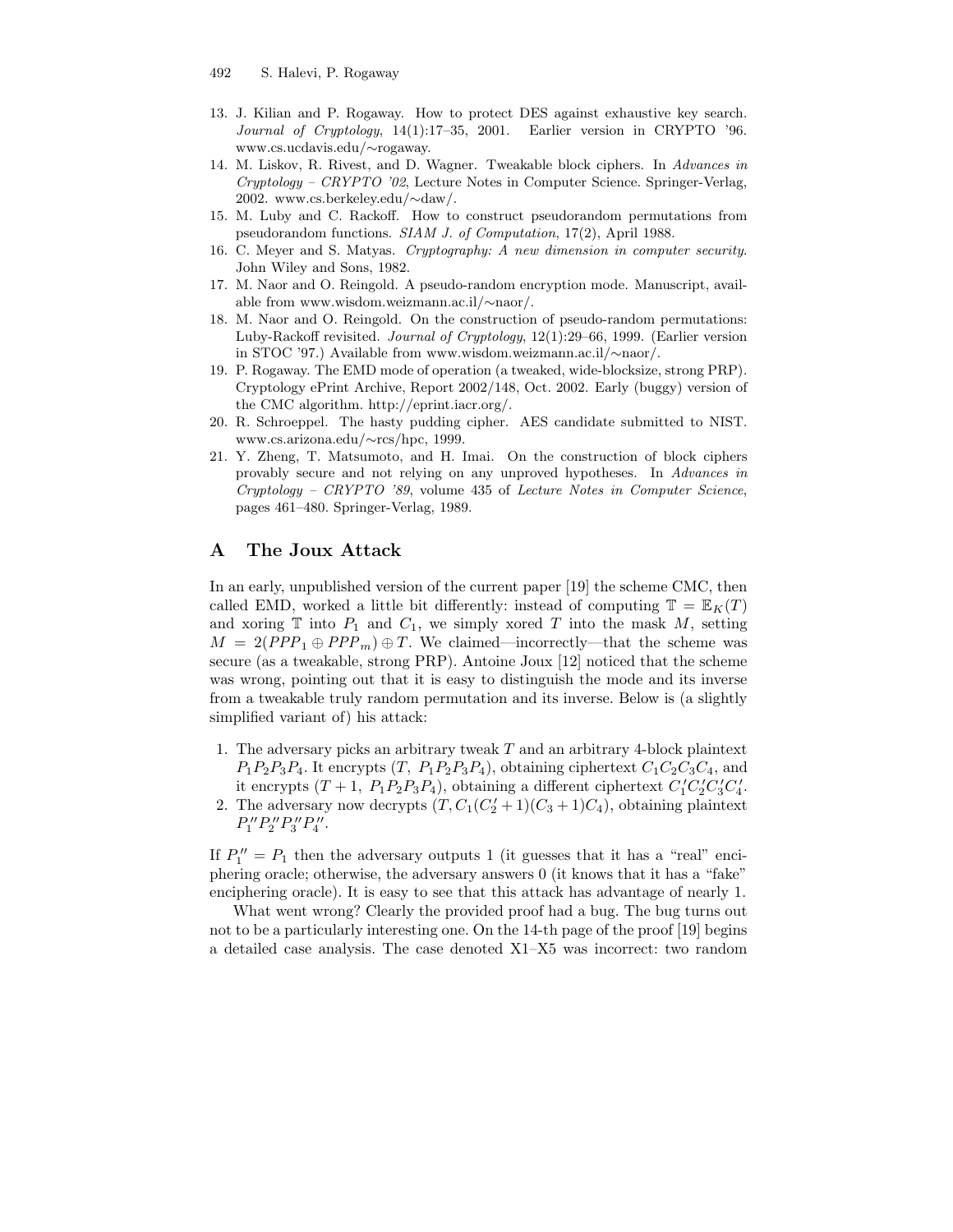- 13. J. Kilian and P. Rogaway. How to protect DES against exhaustive key search. Journal of Cryptology, 14(1):17–35, 2001. Earlier version in CRYPTO '96. www.cs.ucdavis.edu/∼rogaway.
- 14. M. Liskov, R. Rivest, and D. Wagner. Tweakable block ciphers. In Advances in Cryptology – CRYPTO '02, Lecture Notes in Computer Science. Springer-Verlag, 2002. www.cs.berkeley.edu/∼daw/.
- 15. M. Luby and C. Rackoff. How to construct pseudorandom permutations from pseudorandom functions. SIAM J. of Computation, 17(2), April 1988.
- 16. C. Meyer and S. Matyas. Cryptography: A new dimension in computer security. John Wiley and Sons, 1982.
- 17. M. Naor and O. Reingold. A pseudo-random encryption mode. Manuscript, available from www.wisdom.weizmann.ac.il/∼naor/.
- 18. M. Naor and O. Reingold. On the construction of pseudo-random permutations: Luby-Rackoff revisited. Journal of Cryptology, 12(1):29–66, 1999. (Earlier version in STOC '97.) Available from www.wisdom.weizmann.ac.il/∼naor/.
- 19. P. Rogaway. The EMD mode of operation (a tweaked, wide-blocksize, strong PRP). Cryptology ePrint Archive, Report 2002/148, Oct. 2002. Early (buggy) version of the CMC algorithm. http://eprint.iacr.org/.
- 20. R. Schroeppel. The hasty pudding cipher. AES candidate submitted to NIST. www.cs.arizona.edu/∼rcs/hpc, 1999.
- 21. Y. Zheng, T. Matsumoto, and H. Imai. On the construction of block ciphers provably secure and not relying on any unproved hypotheses. In Advances in Cryptology – CRYPTO '89, volume 435 of Lecture Notes in Computer Science, pages 461–480. Springer-Verlag, 1989.

### A The Joux Attack

In an early, unpublished version of the current paper [19] the scheme CMC, then called EMD, worked a little bit differently: instead of computing  $\mathbb{T} = \mathbb{E}_K(T)$ and xoring  $\mathbb T$  into  $P_1$  and  $C_1$ , we simply xored  $T$  into the mask  $M$ , setting  $M = 2(PPP_1 \oplus PPP_m) \oplus T$ . We claimed—incorrectly—that the scheme was secure (as a tweakable, strong PRP). Antoine Joux [12] noticed that the scheme was wrong, pointing out that it is easy to distinguish the mode and its inverse from a tweakable truly random permutation and its inverse. Below is (a slightly simplified variant of) his attack:

- 1. The adversary picks an arbitrary tweak T and an arbitrary 4-block plaintext  $P_1P_2P_3P_4$ . It encrypts  $(T, P_1P_2P_3P_4)$ , obtaining ciphertext  $C_1C_2C_3C_4$ , and it encrypts  $(T + 1, P_1 P_2 P_3 P_4)$ , obtaining a different ciphertext  $C_1' C_2' C_3' C_4'$ .
- 2. The adversary now decrypts  $(T, C_1(C_2' + 1)(C_3 + 1)C_4)$ , obtaining plaintext  $P''_1P''_2P''_3P''_4.$

If  $P''_1 = P_1$  then the adversary outputs 1 (it guesses that it has a "real" enciphering oracle; otherwise, the adversary answers 0 (it knows that it has a "fake" enciphering oracle). It is easy to see that this attack has advantage of nearly 1.

What went wrong? Clearly the provided proof had a bug. The bug turns out not to be a particularly interesting one. On the 14-th page of the proof [19] begins a detailed case analysis. The case denoted X1–X5 was incorrect: two random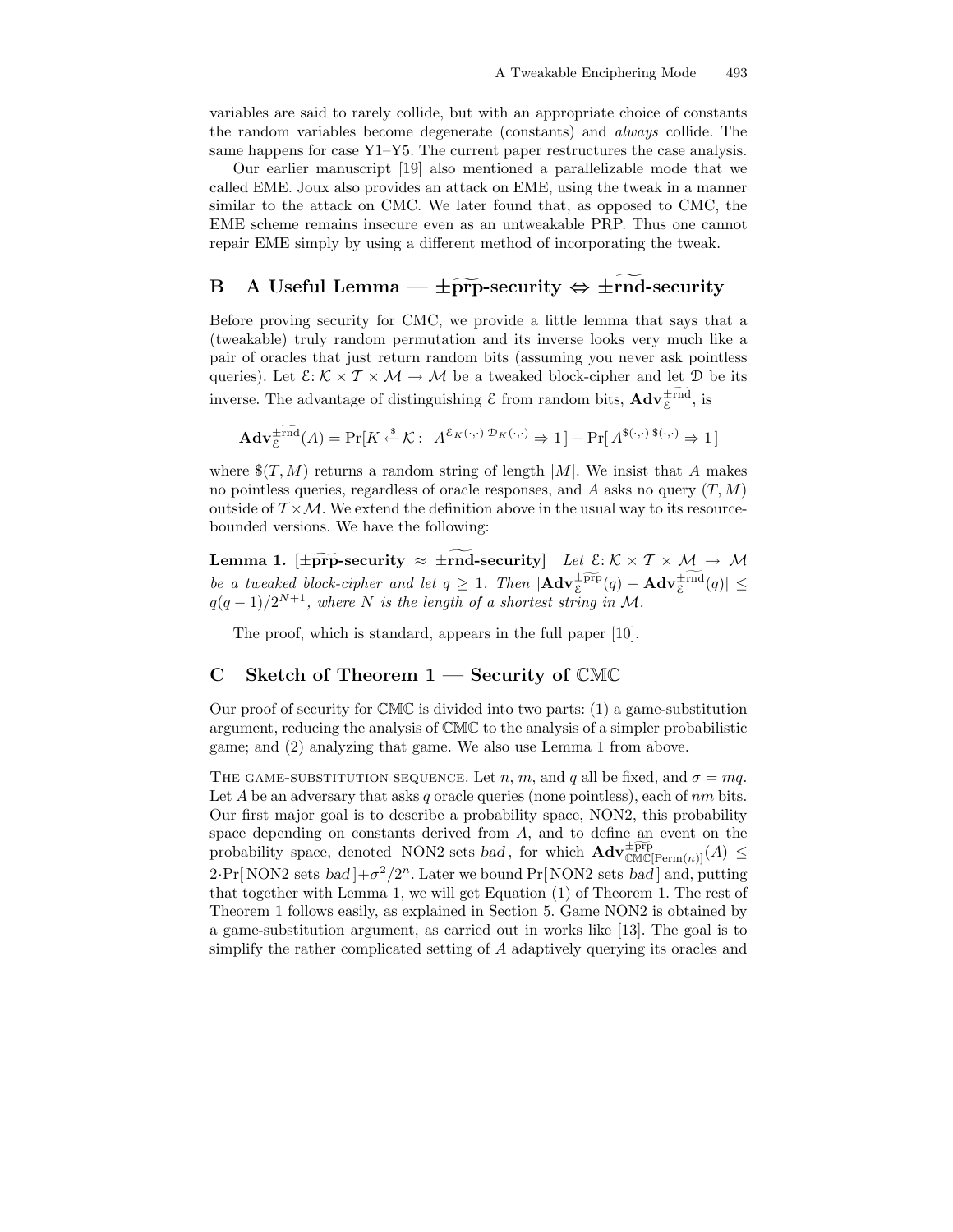variables are said to rarely collide, but with an appropriate choice of constants the random variables become degenerate (constants) and always collide. The same happens for case Y1–Y5. The current paper restructures the case analysis.

Our earlier manuscript [19] also mentioned a parallelizable mode that we called EME. Joux also provides an attack on EME, using the tweak in a manner similar to the attack on CMC. We later found that, as opposed to CMC, the EME scheme remains insecure even as an untweakable PRP. Thus one cannot repair EME simply by using a different method of incorporating the tweak.

# B A Useful Lemma —  $\pm \widetilde{pr}p$ -security  $\Leftrightarrow \pm \widetilde{rn}p$ -security

Before proving security for CMC, we provide a little lemma that says that a (tweakable) truly random permutation and its inverse looks very much like a pair of oracles that just return random bits (assuming you never ask pointless queries). Let  $\mathcal{E}: \mathcal{K} \times \mathcal{T} \times \mathcal{M} \to \mathcal{M}$  be a tweaked block-cipher and let  $\mathcal{D}$  be its inverse. The advantage of distinguishing  $\mathcal E$  from random bits,  $\mathbf{Adv}_{\mathcal E}^{\pm \mathrm{rnd}}$ , is

$$
\mathbf{Adv}_{\varepsilon}^{\pm \mathrm{rnd}}(A) = \Pr[K \xleftarrow{\$} \mathcal{K}: A^{\varepsilon_K(\cdot, \cdot) \mathcal{D}_K(\cdot, \cdot)} \Rightarrow 1] - \Pr[A^{\$(\cdot, \cdot) \$(\cdot, \cdot)} \Rightarrow 1]
$$

where  $\$(T, M)$  returns a random string of length |M|. We insist that A makes no pointless queries, regardless of oracle responses, and A asks no query  $(T, M)$ outside of  $T \times \mathcal{M}$ . We extend the definition above in the usual way to its resourcebounded versions. We have the following:

Lemma 1. [ $\pm \widetilde{\text{prp}}$ -security  $\approx \pm \text{rnd-security}$ ] Let  $\mathcal{E}: \mathcal{K} \times \mathcal{T} \times \mathcal{M} \rightarrow \mathcal{M}$ be a tweaked block-cipher and let  $q \geq 1$ . Then  $|\mathbf{Adv}_{\mathcal{E}}^{\pm \widetilde{\text{prp}}}(q) - \mathbf{Adv}_{\mathcal{E}}^{\pm \text{rnd}}(q)| \leq$  $q(q-1)/2^{N+1}$ , where N is the length of a shortest string in M.

The proof, which is standard, appears in the full paper [10].

### C Sketch of Theorem  $1$  — Security of CMC

Our proof of security for  $\mathbb{CMC}$  is divided into two parts: (1) a game-substitution argument, reducing the analysis of CMC to the analysis of a simpler probabilistic game; and (2) analyzing that game. We also use Lemma 1 from above.

THE GAME-SUBSTITUTION SEQUENCE. Let n, m, and q all be fixed, and  $\sigma = mq$ . Let A be an adversary that asks q oracle queries (none pointless), each of  $nm$  bits. Our first major goal is to describe a probability space, NON2, this probability space depending on constants derived from A, and to define an event on the probability space, denoted NON2 sets bad, for which  $\mathbf{Adv}_{\mathbb{CMC}[\text{Perm}(n)]}^{\pm \widetilde{\text{pp}}}(A) \leq$  $2 \cdot \Pr[\text{NON2 sets } bad] + \sigma^2/2^n$ . Later we bound  $\Pr[\text{NON2 sets } bad]$  and, putting that together with Lemma 1, we will get Equation (1) of Theorem 1. The rest of Theorem 1 follows easily, as explained in Section 5. Game NON2 is obtained by a game-substitution argument, as carried out in works like [13]. The goal is to simplify the rather complicated setting of A adaptively querying its oracles and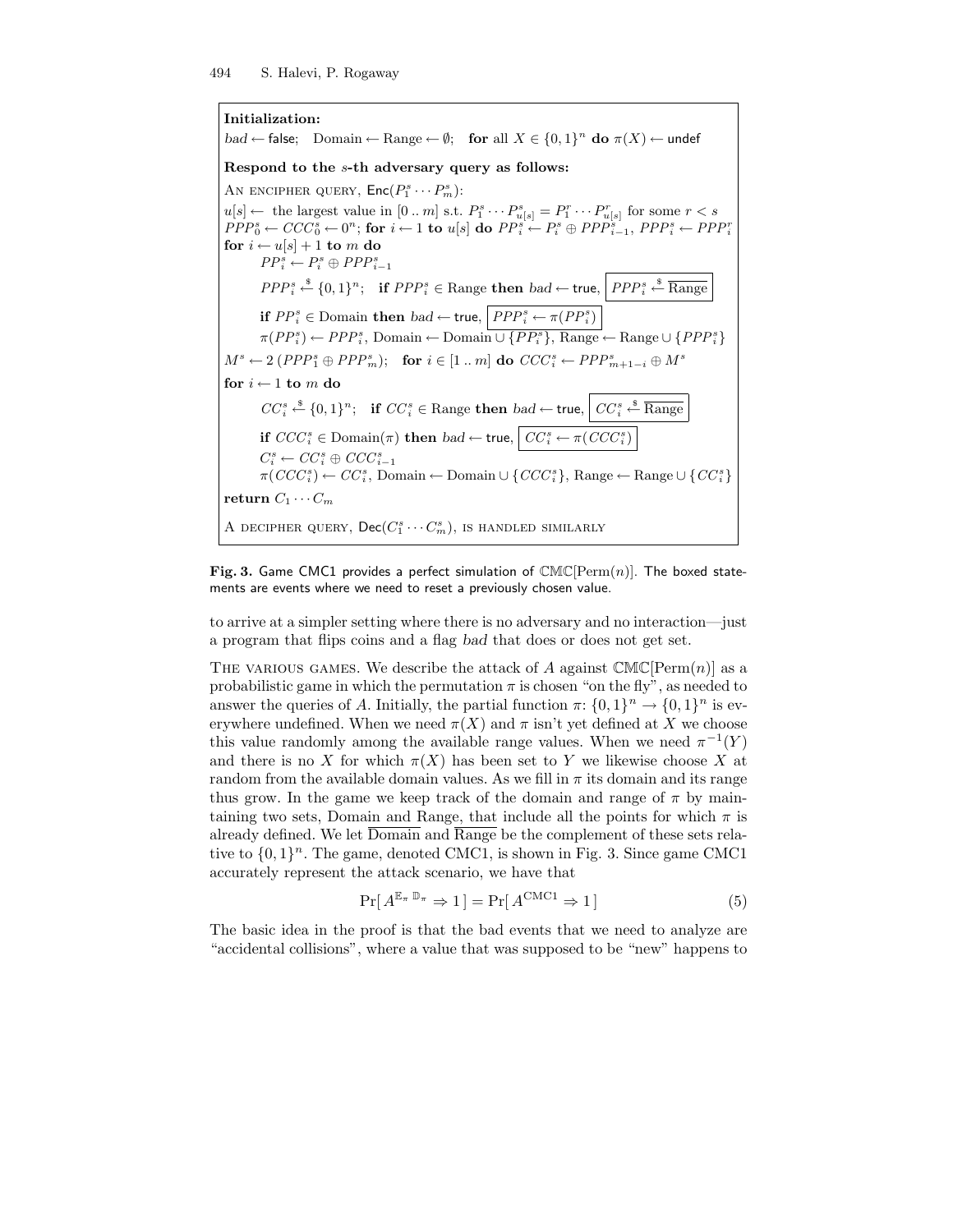Initialization:

bad ← false; Domain ← Range ←  $\emptyset$ ; for all  $X \in \{0,1\}^n$  do  $\pi(X)$  ← undef Respond to the s-th adversary query as follows: AN ENCIPHER QUERY,  $\mathsf{Enc}(P_1^s \cdots P_m^s)$ :  $u[s] \leftarrow$  the largest value in [0 .. m] s.t.  $P_1^s \cdots P_{u[s]}^s = P_1^r \cdots P_{u[s]}^r$  for some  $r < s$  $PPP_0^s \leftarrow CCC_0^s \leftarrow 0^n;$  for  $i \leftarrow 1$  to  $u[s]$  do  $PP_i^s \leftarrow P_i^s \oplus PPP_{i-1}^s$ ,  $PPP_i^s \leftarrow PPP_i^r$ for  $i \leftarrow u[s] + 1$  to m do  $PP_i^s \leftarrow P_i^s \oplus PPP_{i-1}^s$  $PPP_i^s \stackrel{\$}{\leftarrow} \{0,1\}^n;$  if  $PPP_i^s \in \text{Range}$  then  $bad \leftarrow \text{true}, \left| PPP_i^s \stackrel{\$}{\leftarrow} \text{Range}$ if  $PP_i^s \in \text{Domain}$  then  $bad \leftarrow \text{true}, \left| PPP_i^s \leftarrow \pi(PP_i^s) \right|$  $\pi(PP_i^s) \leftarrow PPP_i^s$ , Domain ← Domain  $\cup \{PP_i^s\}$ , Range ← Range  $\cup \{PPP_i^s\}$  $M^s \leftarrow 2 (PPP_1^s \oplus PPP_m^s);$  for  $i \in [1 \dots m]$  do  $CCC_i^s \leftarrow PPP_{m+1-i}^s \oplus M^s$ for  $i \leftarrow 1$  to  $m$  do  $CC_i^s \xleftarrow{\$} \{0,1\}^n$ ; if  $CC_i^s \in \text{Range}$  then  $bad \leftarrow \text{true}, \left\vert CC_i^s \xleftarrow{\$} \overline{\text{Range}}$ if  $CCC_i^s \in \text{Domain}(\pi)$  then  $bad \leftarrow \textsf{true}, \left| \textit{CC}^s_i \leftarrow \pi(CC_i^s) \right|$  $C_i^s \leftarrow CC_i^s \oplus CCC_{i-1}^s$  $\pi(CCC_i^s) \leftarrow CC_i^s$ , Domain ← Domain ∪ { $CCC_i^s$ }, Range ← Range ∪ { $CC_i^s$ } return  $C_1 \cdots C_m$ A DECIPHER QUERY,  $\mathsf{Dec}(C_1^s \cdots C_m^s)$ , is handled similarly

Fig. 3. Game CMC1 provides a perfect simulation of  $CMC[Perm(n)]$ . The boxed statements are events where we need to reset a previously chosen value.

to arrive at a simpler setting where there is no adversary and no interaction—just a program that flips coins and a flag bad that does or does not get set.

THE VARIOUS GAMES. We describe the attack of A against  $CMC[Perm(n)]$  as a probabilistic game in which the permutation  $\pi$  is chosen "on the fly", as needed to answer the queries of A. Initially, the partial function  $\pi: \{0,1\}^n \to \{0,1\}^n$  is everywhere undefined. When we need  $\pi(X)$  and  $\pi$  isn't yet defined at X we choose this value randomly among the available range values. When we need  $\pi^{-1}(Y)$ and there is no X for which  $\pi(X)$  has been set to Y we likewise choose X at random from the available domain values. As we fill in  $\pi$  its domain and its range thus grow. In the game we keep track of the domain and range of  $\pi$  by maintaining two sets, Domain and Range, that include all the points for which  $\pi$  is already defined. We let Domain and Range be the complement of these sets relative to  $\{0,1\}^n$ . The game, denoted CMC1, is shown in Fig. 3. Since game CMC1 accurately represent the attack scenario, we have that

$$
\Pr[A^{\mathbb{E}_{\pi}\,\mathbb{D}_{\pi}} \Rightarrow 1] = \Pr[A^{\text{CMC1}} \Rightarrow 1] \tag{5}
$$

The basic idea in the proof is that the bad events that we need to analyze are "accidental collisions", where a value that was supposed to be "new" happens to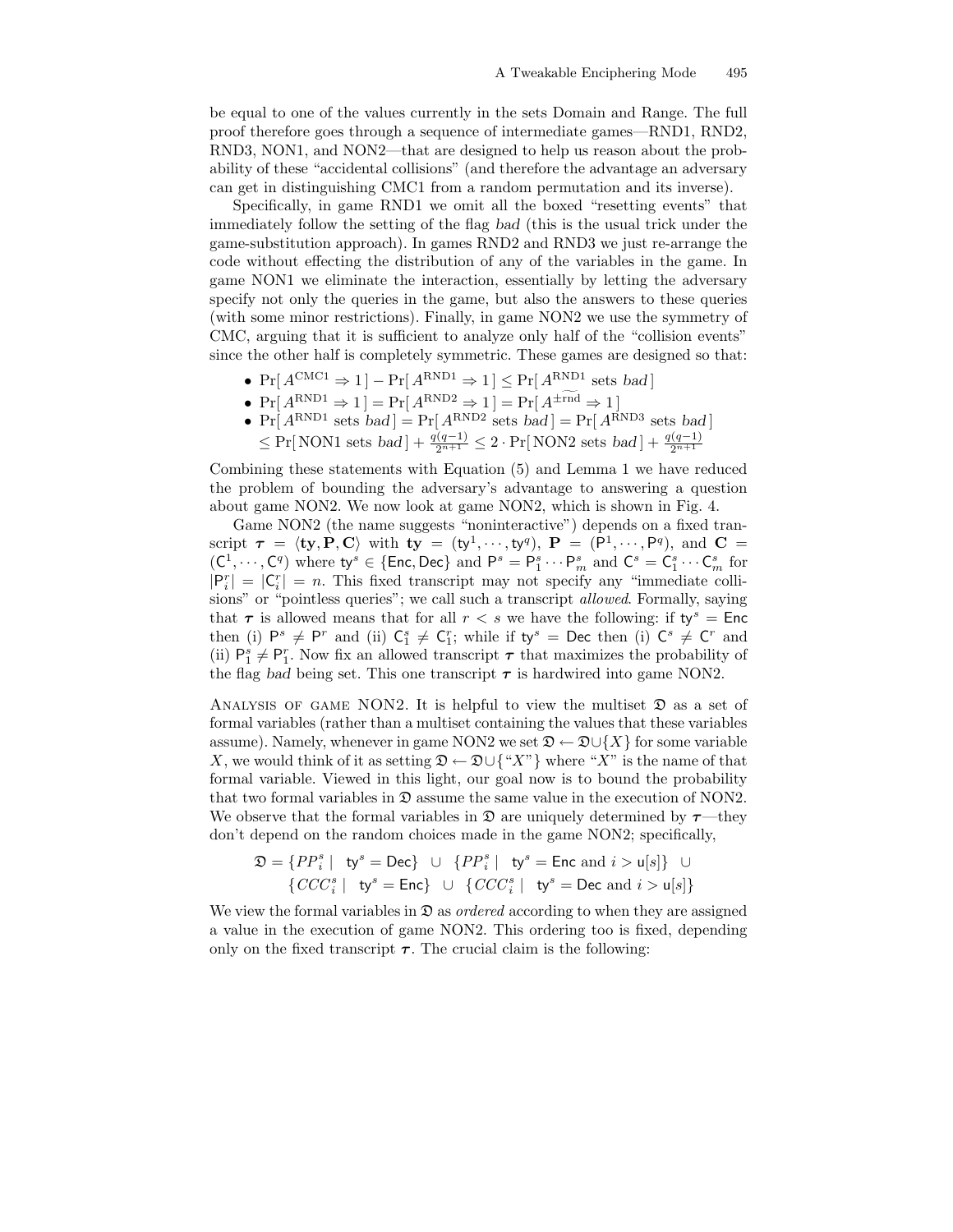be equal to one of the values currently in the sets Domain and Range. The full proof therefore goes through a sequence of intermediate games—RND1, RND2, RND3, NON1, and NON2—that are designed to help us reason about the probability of these "accidental collisions" (and therefore the advantage an adversary can get in distinguishing CMC1 from a random permutation and its inverse).

Specifically, in game RND1 we omit all the boxed "resetting events" that immediately follow the setting of the flag bad (this is the usual trick under the game-substitution approach). In games RND2 and RND3 we just re-arrange the code without effecting the distribution of any of the variables in the game. In game NON1 we eliminate the interaction, essentially by letting the adversary specify not only the queries in the game, but also the answers to these queries (with some minor restrictions). Finally, in game NON2 we use the symmetry of CMC, arguing that it is sufficient to analyze only half of the "collision events" since the other half is completely symmetric. These games are designed so that:

- $Pr[A^{CMC1} \Rightarrow 1] Pr[A^{RND1} \Rightarrow 1] \leq Pr[A^{RND1} \text{ sets } bad]$
- $Pr[A^{RND1} \Rightarrow 1] = Pr[A^{RND2} \Rightarrow 1] = Pr[A^{\pm \text{rnd}} \Rightarrow 1]$
- $Pr[A^{RND1} \text{ sets } bad] = Pr[A^{RND2} \text{ sets } bad] = Pr[A^{RND3} \text{ sets } bad]$  $≤ Pr[NON1 sets bad] + \frac{q(q-1)}{2^{n+1}} ≤ 2 \cdot Pr[NON2 sets bad] + \frac{q(q-1)}{2^{n+1}}$

Combining these statements with Equation (5) and Lemma 1 we have reduced the problem of bounding the adversary's advantage to answering a question about game NON2. We now look at game NON2, which is shown in Fig. 4.

Game NON2 (the name suggests "noninteractive") depends on a fixed transcript  $\tau = \langle ty, P, C \rangle$  with  $ty = (ty^1, \dots, ty^q), P = (P^1, \dots, P^q),$  and  $C =$  $(C^1, \dots, C^q)$  where  $\mathsf{ty}^s \in \{\mathsf{Enc}, \mathsf{Dec}\}$  and  $\mathsf{P}^s = \mathsf{P}^s_1 \cdots \mathsf{P}^s_m$  and  $\mathsf{C}^s = \mathsf{C}^s_1 \cdots \mathsf{C}^s_m$  for  $|P_i^r| = |C_i^r| = n$ . This fixed transcript may not specify any "immediate collisions" or "pointless queries"; we call such a transcript *allowed*. Formally, saying that  $\tau$  is allowed means that for all  $r < s$  we have the following: if  $ty^s = Enc$ then (i)  $\mathsf{P}^s \neq \mathsf{P}^r$  and (ii)  $\mathsf{C}_1^s \neq \mathsf{C}_1^r$ ; while if  $\mathsf{ty}^s = \mathsf{Dec}$  then (i)  $\mathsf{C}^s \neq \mathsf{C}^r$  and (ii)  $P_1^s \neq P_1^r$ . Now fix an allowed transcript  $\tau$  that maximizes the probability of the flag bad being set. This one transcript  $\tau$  is hardwired into game NON2.

ANALYSIS OF GAME NON2. It is helpful to view the multiset  $\mathfrak D$  as a set of formal variables (rather than a multiset containing the values that these variables assume). Namely, whenever in game NON2 we set  $\mathfrak{D} \leftarrow \mathfrak{D} \cup \{X\}$  for some variable X, we would think of it as setting  $\mathfrak{D} \leftarrow \mathfrak{D} \cup \{^u X^v\}$  where "X" is the name of that formal variable. Viewed in this light, our goal now is to bound the probability that two formal variables in  $\mathfrak D$  assume the same value in the execution of NON2. We observe that the formal variables in  $\mathfrak D$  are uniquely determined by  $\tau$ —they don't depend on the random choices made in the game NON2; specifically,

$$
\mathfrak{D} = \{PP_i^s \mid \text{ty}^s = \text{Dec}\} \cup \{PP_i^s \mid \text{ty}^s = \text{Enc} \text{ and } i > \mathsf{u}[s]\} \cup \{CCC_i^s \mid \text{ty}^s = \text{Enc} \} \cup \{CCC_i^s \mid \text{ty}^s = \text{Dec} \text{ and } i > \mathsf{u}[s]\}
$$

We view the formal variables in  $\mathfrak{D}$  as *ordered* according to when they are assigned a value in the execution of game NON2. This ordering too is fixed, depending only on the fixed transcript  $\tau$ . The crucial claim is the following: